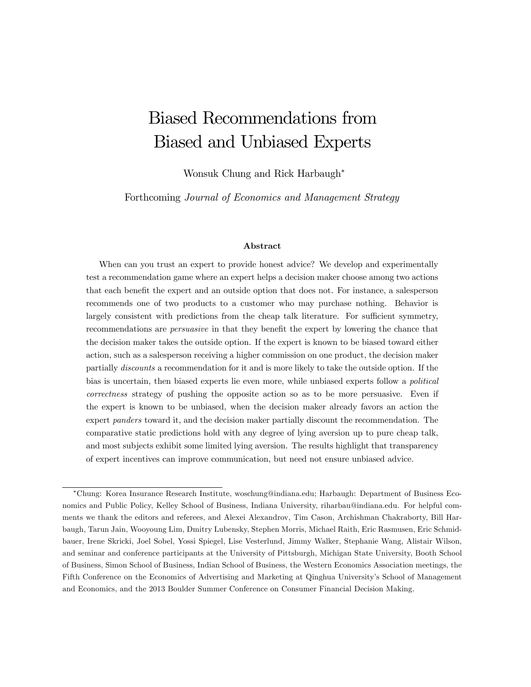# Biased Recommendations from Biased and Unbiased Experts

Wonsuk Chung and Rick Harbaugh<sup>∗</sup>

Forthcoming Journal of Economics and Management Strategy

#### Abstract

When can you trust an expert to provide honest advice? We develop and experimentally test a recommendation game where an expert helps a decision maker choose among two actions that each benefit the expert and an outside option that does not. For instance, a salesperson recommends one of two products to a customer who may purchase nothing. Behavior is largely consistent with predictions from the cheap talk literature. For sufficient symmetry, recommendations are persuasive in that they benefit the expert by lowering the chance that the decision maker takes the outside option. If the expert is known to be biased toward either action, such as a salesperson receiving a higher commission on one product, the decision maker partially discounts a recommendation for it and is more likely to take the outside option. If the bias is uncertain, then biased experts lie even more, while unbiased experts follow a political correctness strategy of pushing the opposite action so as to be more persuasive. Even if the expert is known to be unbiased, when the decision maker already favors an action the expert panders toward it, and the decision maker partially discount the recommendation. The comparative static predictions hold with any degree of lying aversion up to pure cheap talk, and most subjects exhibit some limited lying aversion. The results highlight that transparency of expert incentives can improve communication, but need not ensure unbiased advice.

<sup>∗</sup>Chung: Korea Insurance Research Institute, woschung@indiana.edu; Harbaugh: Department of Business Economics and Public Policy, Kelley School of Business, Indiana University, riharbau@indiana.edu. For helpful comments we thank the editors and referees, and Alexei Alexandrov, Tim Cason, Archishman Chakraborty, Bill Harbaugh, Tarun Jain, Wooyoung Lim, Dmitry Lubensky, Stephen Morris, Michael Raith, Eric Rasmusen, Eric Schmidbauer, Irene Skricki, Joel Sobel, Yossi Spiegel, Lise Vesterlund, Jimmy Walker, Stephanie Wang, Alistair Wilson, and seminar and conference participants at the University of Pittsburgh, Michigan State University, Booth School of Business, Simon School of Business, Indian School of Business, the Western Economics Association meetings, the Fifth Conference on the Economics of Advertising and Marketing at Qinghua University's School of Management and Economics, and the 2013 Boulder Summer Conference on Consumer Financial Decision Making.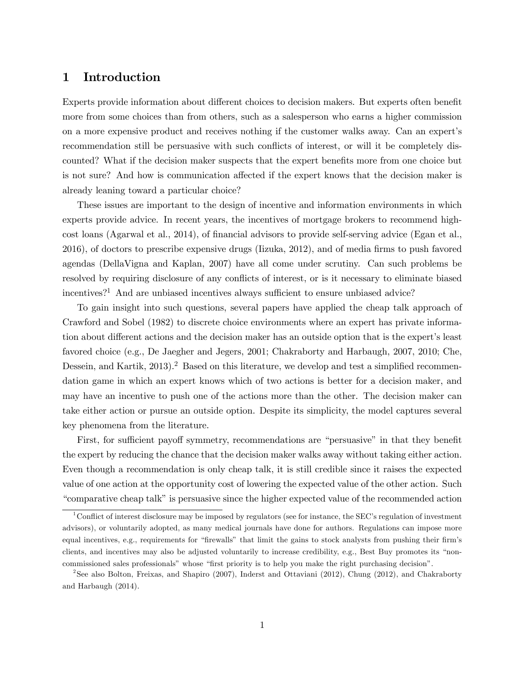# 1 Introduction

Experts provide information about different choices to decision makers. But experts often benefit more from some choices than from others, such as a salesperson who earns a higher commission on a more expensive product and receives nothing if the customer walks away. Can an expert's recommendation still be persuasive with such conflicts of interest, or will it be completely discounted? What if the decision maker suspects that the expert benefits more from one choice but is not sure? And how is communication affected if the expert knows that the decision maker is already leaning toward a particular choice?

These issues are important to the design of incentive and information environments in which experts provide advice. In recent years, the incentives of mortgage brokers to recommend highcost loans (Agarwal et al., 2014), of financial advisors to provide self-serving advice (Egan et al., 2016), of doctors to prescribe expensive drugs (Iizuka, 2012), and of media firms to push favored agendas (DellaVigna and Kaplan, 2007) have all come under scrutiny. Can such problems be resolved by requiring disclosure of any conflicts of interest, or is it necessary to eliminate biased incentives?1 And are unbiased incentives always sufficient to ensure unbiased advice?

To gain insight into such questions, several papers have applied the cheap talk approach of Crawford and Sobel (1982) to discrete choice environments where an expert has private information about different actions and the decision maker has an outside option that is the expert's least favored choice (e.g., De Jaegher and Jegers, 2001; Chakraborty and Harbaugh, 2007, 2010; Che, Dessein, and Kartik, 2013).<sup>2</sup> Based on this literature, we develop and test a simplified recommendation game in which an expert knows which of two actions is better for a decision maker, and may have an incentive to push one of the actions more than the other. The decision maker can take either action or pursue an outside option. Despite its simplicity, the model captures several key phenomena from the literature.

First, for sufficient payoff symmetry, recommendations are "persuasive" in that they benefit the expert by reducing the chance that the decision maker walks away without taking either action. Even though a recommendation is only cheap talk, it is still credible since it raises the expected value of one action at the opportunity cost of lowering the expected value of the other action. Such "comparative cheap talk" is persuasive since the higher expected value of the recommended action

<sup>&</sup>lt;sup>1</sup>Conflict of interest disclosure may be imposed by regulators (see for instance, the SEC's regulation of investment advisors), or voluntarily adopted, as many medical journals have done for authors. Regulations can impose more equal incentives, e.g., requirements for "firewalls" that limit the gains to stock analysts from pushing their firm's clients, and incentives may also be adjusted voluntarily to increase credibility, e.g., Best Buy promotes its "noncommissioned sales professionals" whose "first priority is to help you make the right purchasing decision".

<sup>2</sup>See also Bolton, Freixas, and Shapiro (2007), Inderst and Ottaviani (2012), Chung (2012), and Chakraborty and Harbaugh (2014).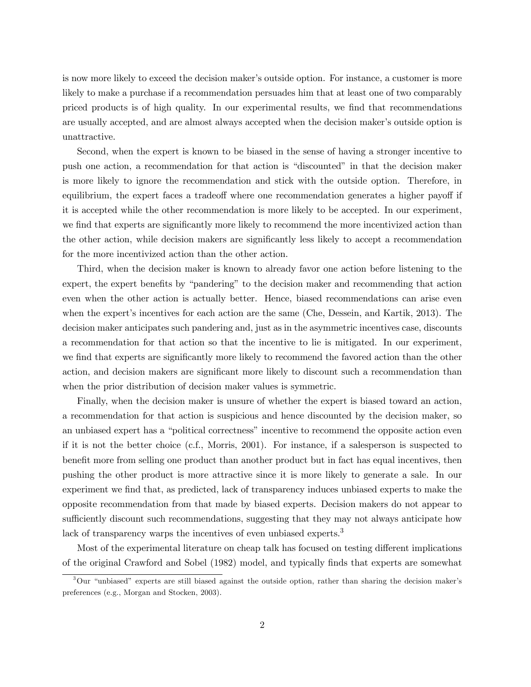is now more likely to exceed the decision maker's outside option. For instance, a customer is more likely to make a purchase if a recommendation persuades him that at least one of two comparably priced products is of high quality. In our experimental results, we find that recommendations are usually accepted, and are almost always accepted when the decision maker's outside option is unattractive.

Second, when the expert is known to be biased in the sense of having a stronger incentive to push one action, a recommendation for that action is "discounted" in that the decision maker is more likely to ignore the recommendation and stick with the outside option. Therefore, in equilibrium, the expert faces a tradeoff where one recommendation generates a higher payoff if it is accepted while the other recommendation is more likely to be accepted. In our experiment, we find that experts are significantly more likely to recommend the more incentivized action than the other action, while decision makers are significantly less likely to accept a recommendation for the more incentivized action than the other action.

Third, when the decision maker is known to already favor one action before listening to the expert, the expert benefits by "pandering" to the decision maker and recommending that action even when the other action is actually better. Hence, biased recommendations can arise even when the expert's incentives for each action are the same (Che, Dessein, and Kartik, 2013). The decision maker anticipates such pandering and, just as in the asymmetric incentives case, discounts a recommendation for that action so that the incentive to lie is mitigated. In our experiment, we find that experts are significantly more likely to recommend the favored action than the other action, and decision makers are significant more likely to discount such a recommendation than when the prior distribution of decision maker values is symmetric.

Finally, when the decision maker is unsure of whether the expert is biased toward an action, a recommendation for that action is suspicious and hence discounted by the decision maker, so an unbiased expert has a "political correctness" incentive to recommend the opposite action even if it is not the better choice (c.f., Morris, 2001). For instance, if a salesperson is suspected to benefit more from selling one product than another product but in fact has equal incentives, then pushing the other product is more attractive since it is more likely to generate a sale. In our experiment we find that, as predicted, lack of transparency induces unbiased experts to make the opposite recommendation from that made by biased experts. Decision makers do not appear to sufficiently discount such recommendations, suggesting that they may not always anticipate how lack of transparency warps the incentives of even unbiased experts.<sup>3</sup>

Most of the experimental literature on cheap talk has focused on testing different implications of the original Crawford and Sobel (1982) model, and typically finds that experts are somewhat

<sup>&</sup>lt;sup>3</sup>Our "unbiased" experts are still biased against the outside option, rather than sharing the decision maker's preferences (e.g., Morgan and Stocken, 2003).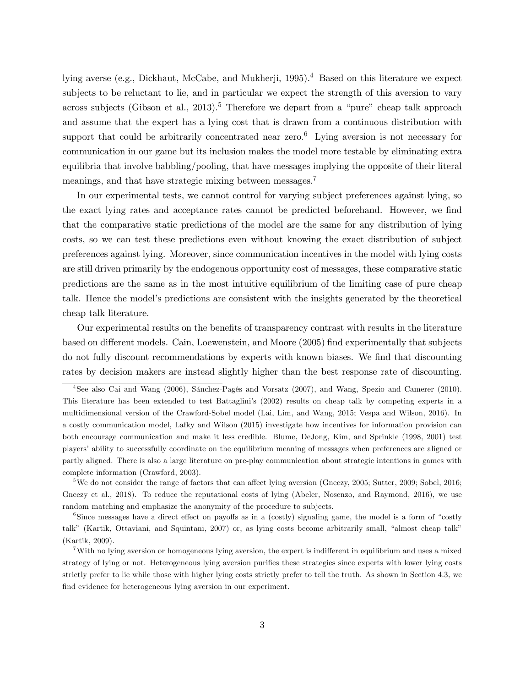lying averse (e.g., Dickhaut, McCabe, and Mukherji, 1995).<sup>4</sup> Based on this literature we expect subjects to be reluctant to lie, and in particular we expect the strength of this aversion to vary across subjects (Gibson et al.,  $2013$ ).<sup>5</sup> Therefore we depart from a "pure" cheap talk approach and assume that the expert has a lying cost that is drawn from a continuous distribution with support that could be arbitrarily concentrated near zero.<sup>6</sup> Lying aversion is not necessary for communication in our game but its inclusion makes the model more testable by eliminating extra equilibria that involve babbling/pooling, that have messages implying the opposite of their literal meanings, and that have strategic mixing between messages.7

In our experimental tests, we cannot control for varying subject preferences against lying, so the exact lying rates and acceptance rates cannot be predicted beforehand. However, we find that the comparative static predictions of the model are the same for any distribution of lying costs, so we can test these predictions even without knowing the exact distribution of subject preferences against lying. Moreover, since communication incentives in the model with lying costs are still driven primarily by the endogenous opportunity cost of messages, these comparative static predictions are the same as in the most intuitive equilibrium of the limiting case of pure cheap talk. Hence the model's predictions are consistent with the insights generated by the theoretical cheap talk literature.

Our experimental results on the benefits of transparency contrast with results in the literature based on different models. Cain, Loewenstein, and Moore (2005) find experimentally that subjects do not fully discount recommendations by experts with known biases. We find that discounting rates by decision makers are instead slightly higher than the best response rate of discounting.

<sup>&</sup>lt;sup>4</sup>See also Cai and Wang (2006), Sánchez-Pagés and Vorsatz (2007), and Wang, Spezio and Camerer (2010). This literature has been extended to test Battaglini's (2002) results on cheap talk by competing experts in a multidimensional version of the Crawford-Sobel model (Lai, Lim, and Wang, 2015; Vespa and Wilson, 2016). In a costly communication model, Lafky and Wilson (2015) investigate how incentives for information provision can both encourage communication and make it less credible. Blume, DeJong, Kim, and Sprinkle (1998, 2001) test players' ability to successfully coordinate on the equilibrium meaning of messages when preferences are aligned or partly aligned. There is also a large literature on pre-play communication about strategic intentions in games with complete information (Crawford, 2003).

<sup>5</sup>We do not consider the range of factors that can affect lying aversion (Gneezy, 2005; Sutter, 2009; Sobel, 2016; Gneezy et al., 2018). To reduce the reputational costs of lying (Abeler, Nosenzo, and Raymond, 2016), we use random matching and emphasize the anonymity of the procedure to subjects.

<sup>&</sup>lt;sup>6</sup>Since messages have a direct effect on payoffs as in a (costly) signaling game, the model is a form of "costly talk" (Kartik, Ottaviani, and Squintani, 2007) or, as lying costs become arbitrarily small, "almost cheap talk" (Kartik, 2009).

<sup>7</sup>With no lying aversion or homogeneous lying aversion, the expert is indifferent in equilibrium and uses a mixed strategy of lying or not. Heterogeneous lying aversion purifies these strategies since experts with lower lying costs strictly prefer to lie while those with higher lying costs strictly prefer to tell the truth. As shown in Section 4.3, we find evidence for heterogeneous lying aversion in our experiment.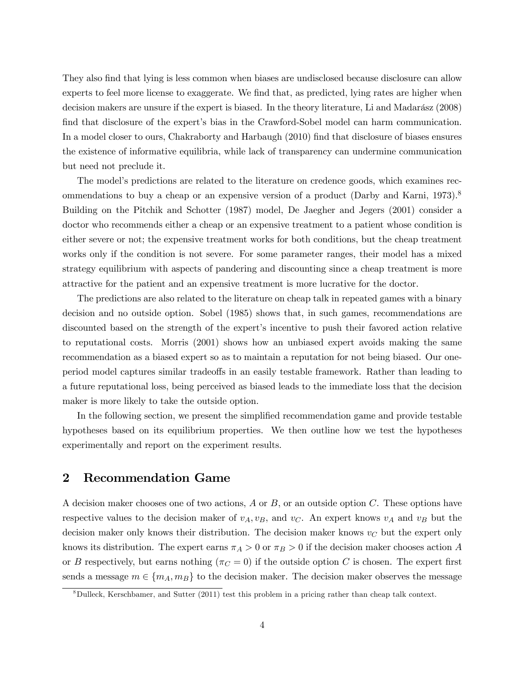They also find that lying is less common when biases are undisclosed because disclosure can allow experts to feel more license to exaggerate. We find that, as predicted, lying rates are higher when decision makers are unsure if the expert is biased. In the theory literature, Li and Madarász (2008) find that disclosure of the expert's bias in the Crawford-Sobel model can harm communication. In a model closer to ours, Chakraborty and Harbaugh (2010) find that disclosure of biases ensures the existence of informative equilibria, while lack of transparency can undermine communication but need not preclude it.

The model's predictions are related to the literature on credence goods, which examines recommendations to buy a cheap or an expensive version of a product (Darby and Karni,  $1973$ ).<sup>8</sup> Building on the Pitchik and Schotter (1987) model, De Jaegher and Jegers (2001) consider a doctor who recommends either a cheap or an expensive treatment to a patient whose condition is either severe or not; the expensive treatment works for both conditions, but the cheap treatment works only if the condition is not severe. For some parameter ranges, their model has a mixed strategy equilibrium with aspects of pandering and discounting since a cheap treatment is more attractive for the patient and an expensive treatment is more lucrative for the doctor.

The predictions are also related to the literature on cheap talk in repeated games with a binary decision and no outside option. Sobel (1985) shows that, in such games, recommendations are discounted based on the strength of the expert's incentive to push their favored action relative to reputational costs. Morris (2001) shows how an unbiased expert avoids making the same recommendation as a biased expert so as to maintain a reputation for not being biased. Our oneperiod model captures similar tradeoffs in an easily testable framework. Rather than leading to a future reputational loss, being perceived as biased leads to the immediate loss that the decision maker is more likely to take the outside option.

In the following section, we present the simplified recommendation game and provide testable hypotheses based on its equilibrium properties. We then outline how we test the hypotheses experimentally and report on the experiment results.

# 2 Recommendation Game

A decision maker chooses one of two actions,  $A$  or  $B$ , or an outside option  $C$ . These options have respective values to the decision maker of  $v_A, v_B$ , and  $v_C$ . An expert knows  $v_A$  and  $v_B$  but the decision maker only knows their distribution. The decision maker knows  $v_C$  but the expert only knows its distribution. The expert earns  $\pi_A > 0$  or  $\pi_B > 0$  if the decision maker chooses action A or B respectively, but earns nothing ( $\pi$  = 0) if the outside option C is chosen. The expert first sends a message  $m \in \{m_A, m_B\}$  to the decision maker. The decision maker observes the message

<sup>8</sup>Dulleck, Kerschbamer, and Sutter (2011) test this problem in a pricing rather than cheap talk context.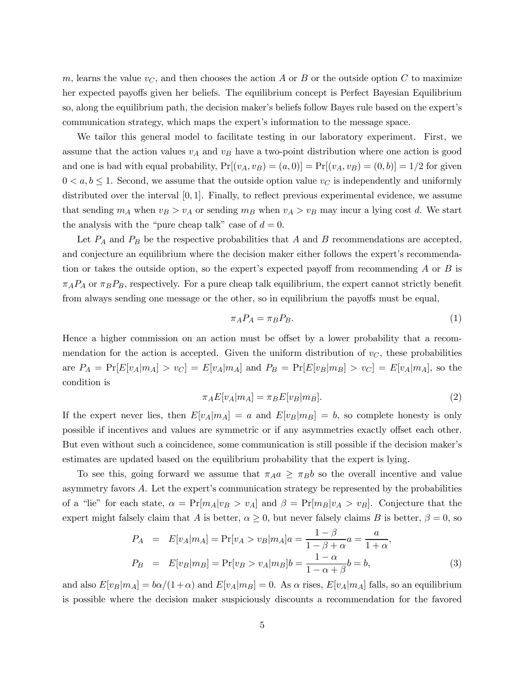m, learns the value  $v_C$ , and then chooses the action A or B or the outside option C to maximize her expected payoffs given her beliefs. The equilibrium concept is Perfect Bayesian Equilibrium so, along the equilibrium path, the decision maker's beliefs follow Bayes rule based on the expert's communication strategy, which maps the expert's information to the message space.

We tailor this general model to facilitate testing in our laboratory experiment. First, we assume that the action values  $v_A$  and  $v_B$  have a two-point distribution where one action is good and one is bad with equal probability,  $Pr[(v_A, v_B) = (a, 0)] = Pr[(v_A, v_B) = (0, b)] = 1/2$  for given  $0 < a, b \leq 1$ . Second, we assume that the outside option value  $v_C$  is independently and uniformly distributed over the interval  $[0, 1]$ . Finally, to reflect previous experimental evidence, we assume that sending  $m_A$  when  $v_B > v_A$  or sending  $m_B$  when  $v_A > v_B$  may incur a lying cost d. We start the analysis with the "pure cheap talk" case of  $d = 0$ .

Let  $P_A$  and  $P_B$  be the respective probabilities that A and B recommendations are accepted, and conjecture an equilibrium where the decision maker either follows the expert's recommendation or takes the outside option, so the expert's expected payoff from recommending  $A$  or  $B$  is  $\pi_A P_A$  or  $\pi_B P_B$ , respectively. For a pure cheap talk equilibrium, the expert cannot strictly benefit from always sending one message or the other, so in equilibrium the payoffs must be equal,

$$
\pi_A P_A = \pi_B P_B. \tag{1}
$$

Hence a higher commission on an action must be offset by a lower probability that a recommendation for the action is accepted. Given the uniform distribution of  $v<sub>C</sub>$ , these probabilities are  $P_A = Pr[E[v_A|m_A] > v_C] = E[v_A|m_A]$  and  $P_B = Pr[E[v_B|m_B] > v_C] = E[v_A|m_A]$ , so the condition is

$$
\pi_A E[v_A|m_A] = \pi_B E[v_B|m_B].\tag{2}
$$

If the expert never lies, then  $E[v_A|m_A] = a$  and  $E[v_B|m_B] = b$ , so complete honesty is only possible if incentives and values are symmetric or if any asymmetries exactly offset each other. But even without such a coincidence, some communication is still possible if the decision maker's estimates are updated based on the equilibrium probability that the expert is lying.

To see this, going forward we assume that  $\pi_A a \geq \pi_B b$  so the overall incentive and value asymmetry favors  $A$ . Let the expert's communication strategy be represented by the probabilities of a "lie" for each state,  $\alpha = \Pr[m_A|v_B > v_A]$  and  $\beta = \Pr[m_B|v_A > v_B]$ . Conjecture that the expert might falsely claim that A is better,  $\alpha \geq 0$ , but never falsely claims B is better,  $\beta = 0$ , so

$$
P_A = E[v_A|m_A] = Pr[v_A > v_B|m_A]a = \frac{1 - \beta}{1 - \beta + \alpha}a = \frac{a}{1 + \alpha},
$$
  
\n
$$
P_B = E[v_B|m_B] = Pr[v_B > v_A|m_B]b = \frac{1 - \alpha}{1 - \alpha + \beta}b = b,
$$
\n(3)

and also  $E[v_B|m_A] = b\alpha/(1+\alpha)$  and  $E[v_A|m_B] = 0$ . As  $\alpha$  rises,  $E[v_A|m_A]$  falls, so an equilibrium is possible where the decision maker suspiciously discounts a recommendation for the favored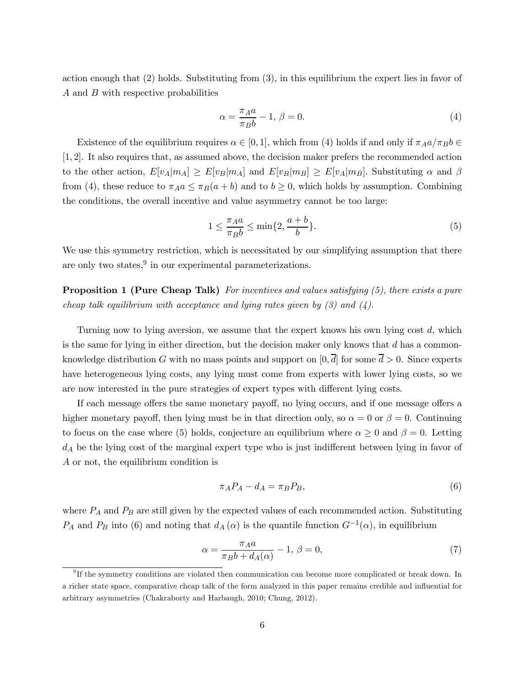action enough that (2) holds. Substituting from (3), in this equilibrium the expert lies in favor of  $A$  and  $B$  with respective probabilities

$$
\alpha = \frac{\pi_A a}{\pi_B b} - 1, \ \beta = 0. \tag{4}
$$

Existence of the equilibrium requires  $\alpha \in [0,1]$ , which from (4) holds if and only if  $\pi_A a/\pi_B b \in$ [1 2]. It also requires that, as assumed above, the decision maker prefers the recommended action to the other action,  $E[v_A|m_A] \geq E[v_B|m_A]$  and  $E[v_B|m_B] \geq E[v_A|m_B]$ . Substituting  $\alpha$  and  $\beta$ from (4), these reduce to  $\pi_A a \leq \pi_B (a + b)$  and to  $b \geq 0$ , which holds by assumption. Combining the conditions, the overall incentive and value asymmetry cannot be too large:

$$
1 \le \frac{\pi_A a}{\pi_B b} \le \min\{2, \frac{a+b}{b}\}.\tag{5}
$$

We use this symmetry restriction, which is necessitated by our simplifying assumption that there are only two states, $9 \text{ in our experimental parameters.}$ 

**Proposition 1 (Pure Cheap Talk)** For incentives and values satisfying (5), there exists a pure cheap talk equilibrium with acceptance and lying rates given by  $(3)$  and  $(4)$ .

Turning now to lying aversion, we assume that the expert knows his own lying cost  $d$ , which is the same for lying in either direction, but the decision maker only knows that  $d$  has a commonknowledge distribution G with no mass points and support on  $[0, \overline{d}]$  for some  $\overline{d} > 0$ . Since experts have heterogeneous lying costs, any lying must come from experts with lower lying costs, so we are now interested in the pure strategies of expert types with different lying costs.

If each message offers the same monetary payoff, no lying occurs, and if one message offers a higher monetary payoff, then lying must be in that direction only, so  $\alpha = 0$  or  $\beta = 0$ . Continuing to focus on the case where (5) holds, conjecture an equilibrium where  $\alpha \geq 0$  and  $\beta = 0$ . Letting  $d_A$  be the lying cost of the marginal expert type who is just indifferent between lying in favor of A or not, the equilibrium condition is

$$
\pi_A P_A - d_A = \pi_B P_B,\tag{6}
$$

where  $P_A$  and  $P_B$  are still given by the expected values of each recommended action. Substituting  $P_A$  and  $P_B$  into (6) and noting that  $d_A(\alpha)$  is the quantile function  $G^{-1}(\alpha)$ , in equilibrium

$$
\alpha = \frac{\pi_A a}{\pi_B b + d_A(\alpha)} - 1, \ \beta = 0,\tag{7}
$$

<sup>9</sup> If the symmetry conditions are violated then communication can become more complicated or break down. In a richer state space, comparative cheap talk of the form analyzed in this paper remains credible and influential for arbitrary asymmetries (Chakraborty and Harbaugh, 2010; Chung, 2012).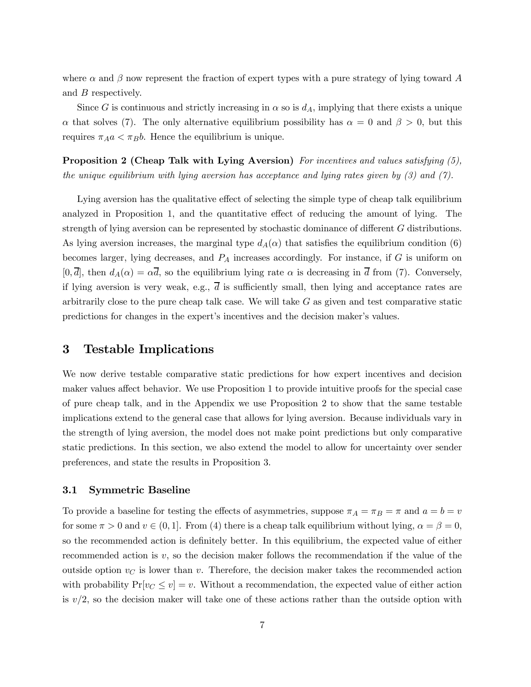where  $\alpha$  and  $\beta$  now represent the fraction of expert types with a pure strategy of lying toward A and  $B$  respectively.

Since G is continuous and strictly increasing in  $\alpha$  so is  $d_A$ , implying that there exists a unique  $\alpha$  that solves (7). The only alternative equilibrium possibility has  $\alpha = 0$  and  $\beta > 0$ , but this requires  $\pi_A a < \pi_B b$ . Hence the equilibrium is unique.

**Proposition 2 (Cheap Talk with Lying Aversion)** For incentives and values satisfying  $(5)$ , the unique equilibrium with lying aversion has acceptance and lying rates given by  $(3)$  and  $(7)$ .

Lying aversion has the qualitative effect of selecting the simple type of cheap talk equilibrium analyzed in Proposition 1, and the quantitative effect of reducing the amount of lying. The strength of lying aversion can be represented by stochastic dominance of different  $G$  distributions. As lying aversion increases, the marginal type  $d_A(\alpha)$  that satisfies the equilibrium condition (6) becomes larger, lying decreases, and  $P_A$  increases accordingly. For instance, if  $G$  is uniform on  $[0, \overline{d}]$ , then  $d_A(\alpha) = \alpha \overline{d}$ , so the equilibrium lying rate  $\alpha$  is decreasing in  $\overline{d}$  from (7). Conversely, if lying aversion is very weak, e.g.,  $\overline{d}$  is sufficiently small, then lying and acceptance rates are arbitrarily close to the pure cheap talk case. We will take  $G$  as given and test comparative static predictions for changes in the expert's incentives and the decision maker's values.

# 3 Testable Implications

We now derive testable comparative static predictions for how expert incentives and decision maker values affect behavior. We use Proposition 1 to provide intuitive proofs for the special case of pure cheap talk, and in the Appendix we use Proposition 2 to show that the same testable implications extend to the general case that allows for lying aversion. Because individuals vary in the strength of lying aversion, the model does not make point predictions but only comparative static predictions. In this section, we also extend the model to allow for uncertainty over sender preferences, and state the results in Proposition 3.

#### 3.1 Symmetric Baseline

To provide a baseline for testing the effects of asymmetries, suppose  $\pi_A = \pi_B = \pi$  and  $a = b = v$ for some  $\pi > 0$  and  $v \in (0,1]$ . From (4) there is a cheap talk equilibrium without lying,  $\alpha = \beta = 0$ , so the recommended action is definitely better. In this equilibrium, the expected value of either recommended action is  $v$ , so the decision maker follows the recommendation if the value of the outside option  $v_{\mathcal{C}}$  is lower than v. Therefore, the decision maker takes the recommended action with probability  $Pr[v_C \leq v] = v$ . Without a recommendation, the expected value of either action is  $v/2$ , so the decision maker will take one of these actions rather than the outside option with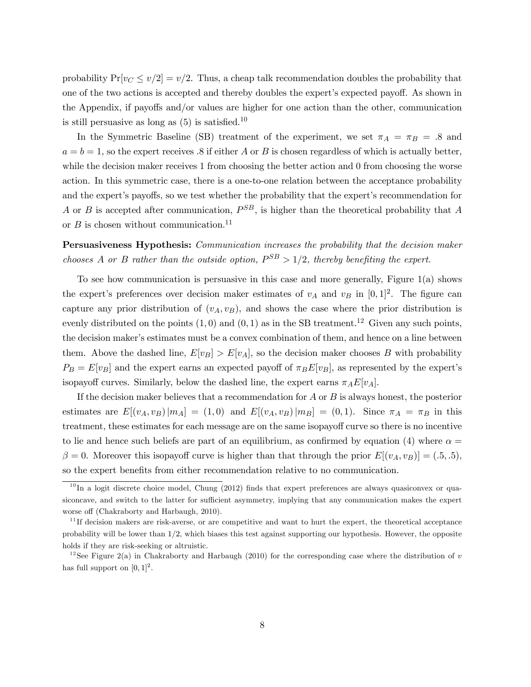probability  $Pr[v_C \leq v/2] = v/2$ . Thus, a cheap talk recommendation doubles the probability that one of the two actions is accepted and thereby doubles the expert's expected payoff. As shown in the Appendix, if payoffs and/or values are higher for one action than the other, communication is still persuasive as long as  $(5)$  is satisfied.<sup>10</sup>

In the Symmetric Baseline (SB) treatment of the experiment, we set  $\pi_A = \pi_B = .8$  and  $a = b = 1$ , so the expert receives 8 if either A or B is chosen regardless of which is actually better, while the decision maker receives 1 from choosing the better action and 0 from choosing the worse action. In this symmetric case, there is a one-to-one relation between the acceptance probability and the expert's payoffs, so we test whether the probability that the expert's recommendation for A or B is accepted after communication,  $P^{SB}$ , is higher than the theoretical probability that A or  $B$  is chosen without communication.<sup>11</sup>

Persuasiveness Hypothesis: Communication increases the probability that the decision maker chooses A or B rather than the outside option,  $P^{SB} > 1/2$ , thereby benefiting the expert.

To see how communication is persuasive in this case and more generally, Figure 1(a) shows the expert's preferences over decision maker estimates of  $v_A$  and  $v_B$  in [0,1]<sup>2</sup>. The figure can capture any prior distribution of  $(v_A, v_B)$ , and shows the case where the prior distribution is evenly distributed on the points  $(1,0)$  and  $(0,1)$  as in the SB treatment.<sup>12</sup> Given any such points, the decision maker's estimates must be a convex combination of them, and hence on a line between them. Above the dashed line,  $E[v_B] > E[v_A]$ , so the decision maker chooses B with probability  $P_B = E[v_B]$  and the expert earns an expected payoff of  $\pi_B E[v_B]$ , as represented by the expert's isopayoff curves. Similarly, below the dashed line, the expert earns  $\pi_A E[v_A]$ .

If the decision maker believes that a recommendation for  $A$  or  $B$  is always honest, the posterior estimates are  $E[(v_A, v_B) | m_A] = (1, 0)$  and  $E[(v_A, v_B) | m_B] = (0, 1)$ . Since  $\pi_A = \pi_B$  in this treatment, these estimates for each message are on the same isopayoff curve so there is no incentive to lie and hence such beliefs are part of an equilibrium, as confirmed by equation (4) where  $\alpha =$  $\beta = 0$ . Moreover this isopayoff curve is higher than that through the prior  $E[( v_A, v_B)] = (.5, .5),$ so the expert benefits from either recommendation relative to no communication.

 $^{10}$ In a logit discrete choice model, Chung (2012) finds that expert preferences are always quasiconvex or quasiconcave, and switch to the latter for sufficient asymmetry, implying that any communication makes the expert worse off (Chakraborty and Harbaugh, 2010).

 $11$  If decision makers are risk-averse, or are competitive and want to hurt the expert, the theoretical acceptance probability will be lower than 12, which biases this test against supporting our hypothesis. However, the opposite holds if they are risk-seeking or altruistic.

<sup>&</sup>lt;sup>12</sup> See Figure 2(a) in Chakraborty and Harbaugh (2010) for the corresponding case where the distribution of v has full support on  $[0, 1]^2$ .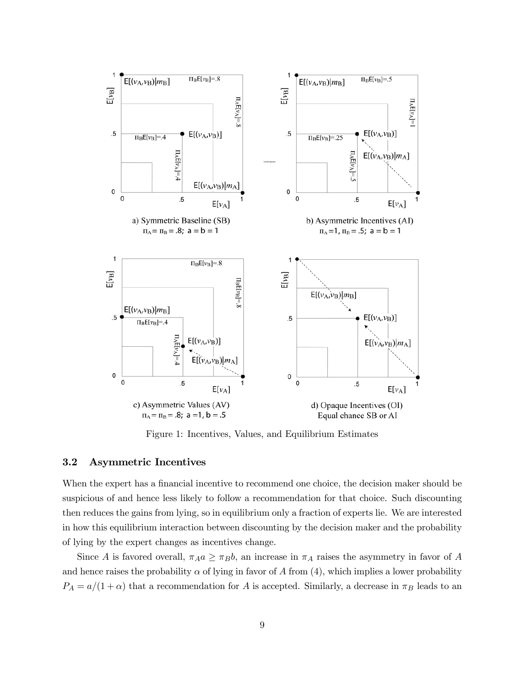

Figure 1: Incentives, Values, and Equilibrium Estimates

#### 3.2 Asymmetric Incentives

When the expert has a financial incentive to recommend one choice, the decision maker should be suspicious of and hence less likely to follow a recommendation for that choice. Such discounting then reduces the gains from lying, so in equilibrium only a fraction of experts lie. We are interested in how this equilibrium interaction between discounting by the decision maker and the probability of lying by the expert changes as incentives change.

Since A is favored overall,  $\pi_A a \geq \pi_B b$ , an increase in  $\pi_A$  raises the asymmetry in favor of A and hence raises the probability  $\alpha$  of lying in favor of A from (4), which implies a lower probability  $P_A = a/(1 + \alpha)$  that a recommendation for A is accepted. Similarly, a decrease in  $\pi_B$  leads to an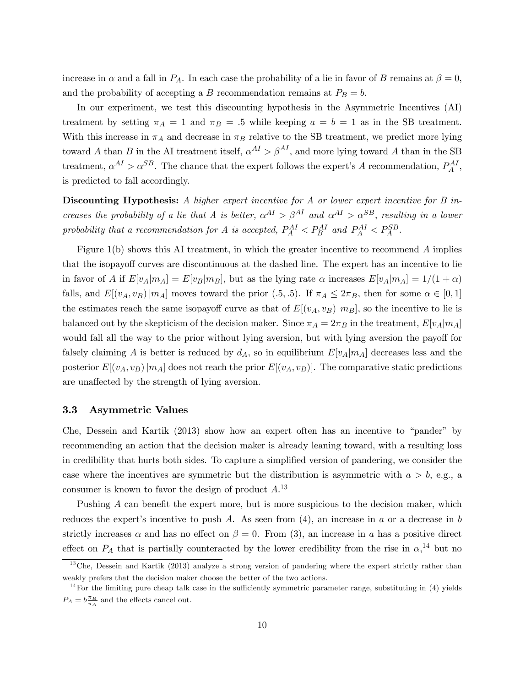increase in  $\alpha$  and a fall in  $P_A$ . In each case the probability of a lie in favor of B remains at  $\beta = 0$ , and the probability of accepting a B recommendation remains at  $P_B = b$ .

In our experiment, we test this discounting hypothesis in the Asymmetric Incentives (AI) treatment by setting  $\pi_A = 1$  and  $\pi_B = .5$  while keeping  $a = b = 1$  as in the SB treatment. With this increase in  $\pi_A$  and decrease in  $\pi_B$  relative to the SB treatment, we predict more lying toward A than B in the AI treatment itself,  $\alpha^{AI} > \beta^{AI}$ , and more lying toward A than in the SB treatment,  $\alpha^{AI} > \alpha^{SB}$ . The chance that the expert follows the expert's A recommendation,  $P_A^{AI}$ , is predicted to fall accordingly.

Discounting Hypothesis: A higher expert incentive for A or lower expert incentive for B increases the probability of a lie that A is better,  $\alpha^{AI} > \beta^{AI}$  and  $\alpha^{AI} > \alpha^{SB}$ , resulting in a lower probability that a recommendation for A is accepted,  $P_A^{AI} < P_B^{AI}$  and  $P_A^{AI} < P_A^{SB}$ .

Figure  $1(b)$  shows this AI treatment, in which the greater incentive to recommend A implies that the isopayoff curves are discontinuous at the dashed line. The expert has an incentive to lie in favor of A if  $E[v_A|m_A] = E[v_B|m_B]$ , but as the lying rate  $\alpha$  increases  $E[v_A|m_A] = 1/(1 + \alpha)$ falls, and  $E[(v_A, v_B)|m_A]$  moves toward the prior (.5, .5). If  $\pi_A \leq 2\pi_B$ , then for some  $\alpha \in [0, 1]$ the estimates reach the same isopayoff curve as that of  $E[( v_A, v_B) | m_B]$ , so the incentive to lie is balanced out by the skepticism of the decision maker. Since  $\pi_A = 2\pi_B$  in the treatment,  $E[v_A|m_A]$ would fall all the way to the prior without lying aversion, but with lying aversion the payoff for falsely claiming A is better is reduced by  $d_A$ , so in equilibrium  $E[v_A|m_A]$  decreases less and the posterior  $E[( v_A, v_B) | m_A]$  does not reach the prior  $E[( v_A, v_B)]$ . The comparative static predictions are unaffected by the strength of lying aversion.

#### 3.3 Asymmetric Values

Che, Dessein and Kartik (2013) show how an expert often has an incentive to "pander" by recommending an action that the decision maker is already leaning toward, with a resulting loss in credibility that hurts both sides. To capture a simplified version of pandering, we consider the case where the incentives are symmetric but the distribution is asymmetric with  $a > b$ , e.g., a consumer is known to favor the design of product  $A^{13}$ .

Pushing  $A$  can benefit the expert more, but is more suspicious to the decision maker, which reduces the expert's incentive to push A. As seen from  $(4)$ , an increase in a or a decrease in b strictly increases  $\alpha$  and has no effect on  $\beta = 0$ . From (3), an increase in a has a positive direct effect on  $P_A$  that is partially counteracted by the lower credibility from the rise in  $\alpha$ ,<sup>14</sup> but no

<sup>&</sup>lt;sup>13</sup>Che, Dessein and Kartik (2013) analyze a strong version of pandering where the expert strictly rather than weakly prefers that the decision maker choose the better of the two actions.

 $14$ For the limiting pure cheap talk case in the sufficiently symmetric parameter range, substituting in (4) yields  $P_A = b \frac{\pi_B}{\pi_A}$  and the effects cancel out.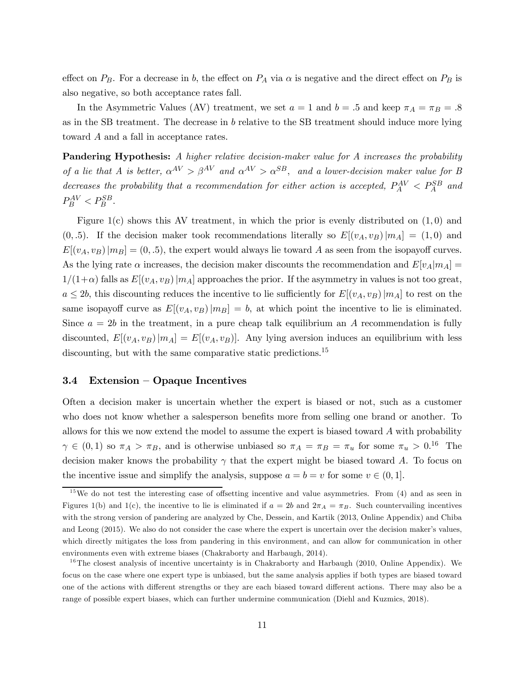effect on  $P_B$ . For a decrease in b, the effect on  $P_A$  via  $\alpha$  is negative and the direct effect on  $P_B$  is also negative, so both acceptance rates fall.

In the Asymmetric Values (AV) treatment, we set  $a = 1$  and  $b = .5$  and keep  $\pi_A = \pi_B = .8$ as in the SB treatment. The decrease in  $b$  relative to the SB treatment should induce more lying toward A and a fall in acceptance rates.

Pandering Hypothesis: A higher relative decision-maker value for A increases the probability of a lie that A is better,  $\alpha^{AV} > \beta^{AV}$  and  $\alpha^{AV} > \alpha^{SB}$ , and a lower-decision maker value for B decreases the probability that a recommendation for either action is accepted,  $P_A^{AV} < P_A^{SB}$  and  $P_B^{AV} < P_B^{SB}$ .

Figure 1(c) shows this AV treatment, in which the prior is evenly distributed on  $(1,0)$  and  $(0, 5)$ . If the decision maker took recommendations literally so  $E[(v_A, v_B)|m_A] = (1, 0)$  and  $E[(v_A, v_B) | m_B] = (0, 0.5)$ , the expert would always lie toward A as seen from the isopayoff curves. As the lying rate  $\alpha$  increases, the decision maker discounts the recommendation and  $E|v_A|m_A|$  $1/(1+\alpha)$  falls as  $E[(v_A, v_B) | m_A]$  approaches the prior. If the asymmetry in values is not too great,  $a \leq 2b$ , this discounting reduces the incentive to lie sufficiently for  $E[(v_A, v_B) | m_A]$  to rest on the same isopayoff curve as  $E[( v_A, v_B) | m_B] = b$ , at which point the incentive to lie is eliminated. Since  $a = 2b$  in the treatment, in a pure cheap talk equilibrium an A recommendation is fully discounted,  $E[( v_A, v_B) | m_A] = E[( v_A, v_B)].$  Any lying aversion induces an equilibrium with less discounting, but with the same comparative static predictions.<sup>15</sup>

#### 3.4 Extension — Opaque Incentives

Often a decision maker is uncertain whether the expert is biased or not, such as a customer who does not know whether a salesperson benefits more from selling one brand or another. To allows for this we now extend the model to assume the expert is biased toward  $A$  with probability  $\gamma \in (0,1)$  so  $\pi_A > \pi_B$ , and is otherwise unbiased so  $\pi_A = \pi_B = \pi_u$  for some  $\pi_u > 0^{16}$  The decision maker knows the probability  $\gamma$  that the expert might be biased toward A. To focus on the incentive issue and simplify the analysis, suppose  $a = b = v$  for some  $v \in (0, 1]$ .

 $15$ We do not test the interesting case of offsetting incentive and value asymmetries. From (4) and as seen in Figures 1(b) and 1(c), the incentive to lie is eliminated if  $a = 2b$  and  $2\pi_A = \pi_B$ . Such countervailing incentives with the strong version of pandering are analyzed by Che, Dessein, and Kartik (2013, Online Appendix) and Chiba and Leong (2015). We also do not consider the case where the expert is uncertain over the decision maker's values, which directly mitigates the loss from pandering in this environment, and can allow for communication in other environments even with extreme biases (Chakraborty and Harbaugh, 2014).

 $16$ The closest analysis of incentive uncertainty is in Chakraborty and Harbaugh (2010, Online Appendix). We focus on the case where one expert type is unbiased, but the same analysis applies if both types are biased toward one of the actions with different strengths or they are each biased toward different actions. There may also be a range of possible expert biases, which can further undermine communication (Diehl and Kuzmics, 2018).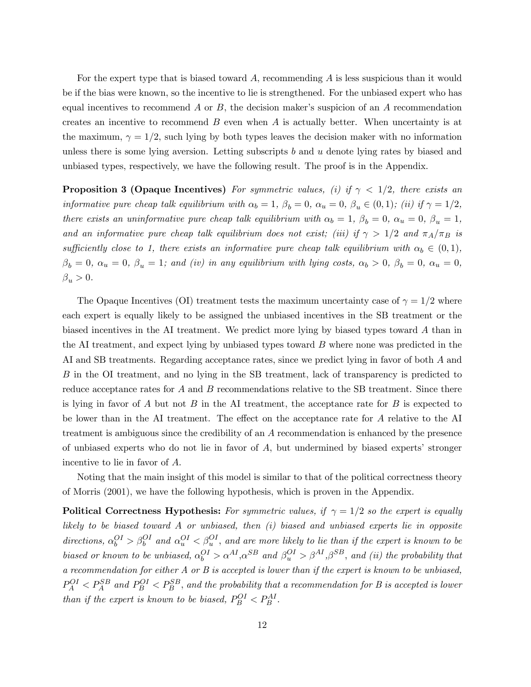For the expert type that is biased toward  $A$ , recommending  $A$  is less suspicious than it would be if the bias were known, so the incentive to lie is strengthened. For the unbiased expert who has equal incentives to recommend  $A$  or  $B$ , the decision maker's suspicion of an  $A$  recommendation creates an incentive to recommend  $B$  even when  $A$  is actually better. When uncertainty is at the maximum,  $\gamma = 1/2$ , such lying by both types leaves the decision maker with no information unless there is some lying aversion. Letting subscripts  $b$  and  $u$  denote lying rates by biased and unbiased types, respectively, we have the following result. The proof is in the Appendix.

**Proposition 3 (Opaque Incentives)** For symmetric values, (i) if  $\gamma$  < 1/2, there exists an informative pure cheap talk equilibrium with  $\alpha_b = 1$ ,  $\beta_b = 0$ ,  $\alpha_u = 0$ ,  $\beta_u \in (0,1)$ ; (ii) if  $\gamma = 1/2$ , there exists an uninformative pure cheap talk equilibrium with  $\alpha_b = 1$ ,  $\beta_b = 0$ ,  $\alpha_u = 0$ ,  $\beta_u = 1$ , and an informative pure cheap talk equilibrium does not exist; (iii) if  $\gamma > 1/2$  and  $\pi_A/\pi_B$  is sufficiently close to 1, there exists an informative pure cheap talk equilibrium with  $\alpha_b \in (0,1)$ ,  $\beta_b = 0, \ \alpha_u = 0, \ \beta_u = 1; \ and \ (iv) \ in \ any \ equilibrium \ with \ lying \ costs, \ \alpha_b > 0, \ \beta_b = 0, \ \alpha_u = 0,$  $\beta_u > 0.$ 

The Opaque Incentives (OI) treatment tests the maximum uncertainty case of  $\gamma = 1/2$  where each expert is equally likely to be assigned the unbiased incentives in the SB treatment or the biased incentives in the AI treatment. We predict more lying by biased types toward than in the AI treatment, and expect lying by unbiased types toward  $B$  where none was predicted in the AI and SB treatments. Regarding acceptance rates, since we predict lying in favor of both A and in the OI treatment, and no lying in the SB treatment, lack of transparency is predicted to reduce acceptance rates for  $A$  and  $B$  recommendations relative to the SB treatment. Since there is lying in favor of  $A$  but not  $B$  in the AI treatment, the acceptance rate for  $B$  is expected to be lower than in the AI treatment. The effect on the acceptance rate for  $A$  relative to the AI treatment is ambiguous since the credibility of an A recommendation is enhanced by the presence of unbiased experts who do not lie in favor of  $A$ , but undermined by biased experts' stronger incentive to lie in favor of  $A$ .

Noting that the main insight of this model is similar to that of the political correctness theory of Morris (2001), we have the following hypothesis, which is proven in the Appendix.

Political Correctness Hypothesis: For symmetric values, if  $\gamma = 1/2$  so the expert is equally likely to be biased toward  $A$  or unbiased, then  $(i)$  biased and unbiased experts lie in opposite directions,  $\alpha_b^{OI} > \beta_b^{OI}$  and  $\alpha_u^{OI} < \beta_u^{OI}$ , and are more likely to lie than if the expert is known to be biased or known to be unbiased,  $\alpha_b^{OI} > \alpha^{AI}, \alpha^{SB}$  and  $\beta_u^{OI} > \beta^{AI}, \beta^{SB}$ , and (ii) the probability that a recommendation for either A or B is accepted is lower than if the expert is known to be unbiased,  $P_A^{OI} < P_A^{SB}$  and  $P_B^{OI} < P_B^{SB}$ , and the probability that a recommendation for B is accepted is lower than if the expert is known to be biased,  $P_B^{OI} < P_B^{AI}$ .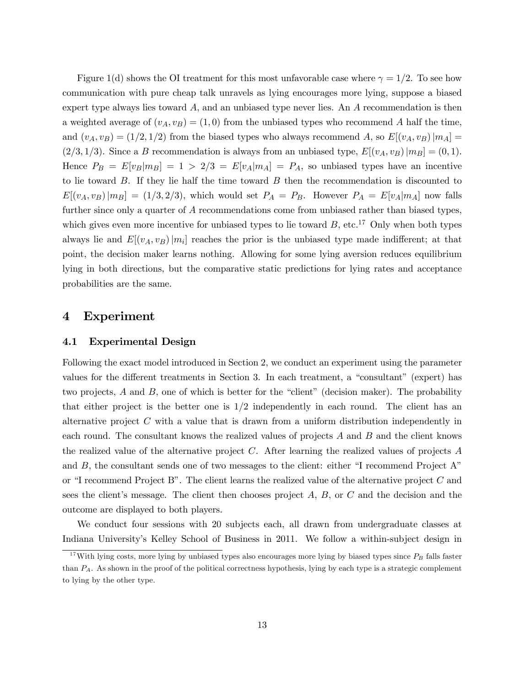Figure 1(d) shows the OI treatment for this most unfavorable case where  $\gamma = 1/2$ . To see how communication with pure cheap talk unravels as lying encourages more lying, suppose a biased expert type always lies toward  $A$ , and an unbiased type never lies. An  $A$  recommendation is then a weighted average of  $(v_A, v_B) = (1, 0)$  from the unbiased types who recommend A half the time, and  $(v_A, v_B) = (1/2, 1/2)$  from the biased types who always recommend A, so  $E[(v_A, v_B) | m_A] =$  $(2/3, 1/3)$ . Since a *B* recommendation is always from an unbiased type,  $E[(v_A, v_B) | m_B] = (0, 1)$ . Hence  $P_B = E[v_B|m_B] = 1 > 2/3 = E[v_A|m_A] = P_A$ , so unbiased types have an incentive to lie toward  $B$ . If they lie half the time toward  $B$  then the recommendation is discounted to  $E[(v_A, v_B) | m_B] = (1/3, 2/3)$ , which would set  $P_A = P_B$ . However  $P_A = E[v_A | m_A]$  now falls further since only a quarter of  $A$  recommendations come from unbiased rather than biased types, which gives even more incentive for unbiased types to lie toward  $B$ , etc.<sup>17</sup> Only when both types always lie and  $E[( v_A, v_B) | m_i]$  reaches the prior is the unbiased type made indifferent; at that point, the decision maker learns nothing. Allowing for some lying aversion reduces equilibrium lying in both directions, but the comparative static predictions for lying rates and acceptance probabilities are the same.

### 4 Experiment

#### 4.1 Experimental Design

Following the exact model introduced in Section 2, we conduct an experiment using the parameter values for the different treatments in Section 3. In each treatment, a "consultant" (expert) has two projects,  $A$  and  $B$ , one of which is better for the "client" (decision maker). The probability that either project is the better one is  $1/2$  independently in each round. The client has an alternative project  $C$  with a value that is drawn from a uniform distribution independently in each round. The consultant knows the realized values of projects  $A$  and  $B$  and the client knows the realized value of the alternative project  $C$ . After learning the realized values of projects  $A$ and  $B$ , the consultant sends one of two messages to the client: either "I recommend Project A" or "I recommend Project B". The client learns the realized value of the alternative project  $C$  and sees the client's message. The client then chooses project  $A, B$ , or  $C$  and the decision and the outcome are displayed to both players.

We conduct four sessions with 20 subjects each, all drawn from undergraduate classes at Indiana University's Kelley School of Business in 2011. We follow a within-subject design in

<sup>&</sup>lt;sup>17</sup>With lying costs, more lying by unbiased types also encourages more lying by biased types since  $P_B$  falls faster than  $P_A$ . As shown in the proof of the political correctness hypothesis, lying by each type is a strategic complement to lying by the other type.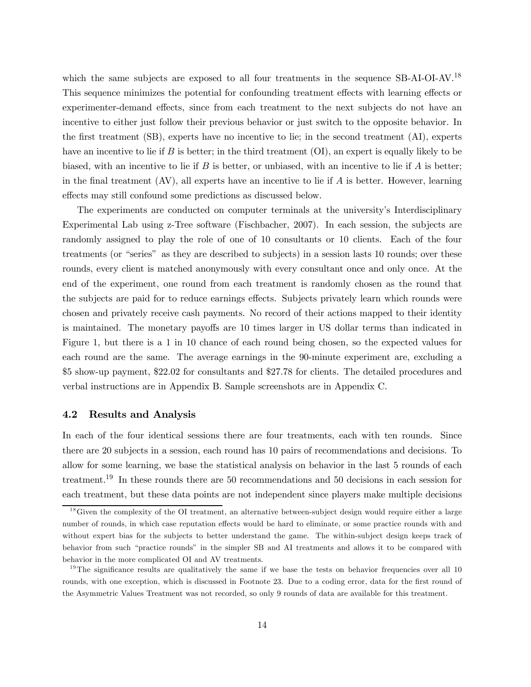which the same subjects are exposed to all four treatments in the sequence SB-AI-OI-AV.18 This sequence minimizes the potential for confounding treatment effects with learning effects or experimenter-demand effects, since from each treatment to the next subjects do not have an incentive to either just follow their previous behavior or just switch to the opposite behavior. In the first treatment (SB), experts have no incentive to lie; in the second treatment (AI), experts have an incentive to lie if  $B$  is better; in the third treatment (OI), an expert is equally likely to be biased, with an incentive to lie if  $B$  is better, or unbiased, with an incentive to lie if  $A$  is better; in the final treatment  $(AV)$ , all experts have an incentive to lie if  $A$  is better. However, learning effects may still confound some predictions as discussed below.

The experiments are conducted on computer terminals at the university's Interdisciplinary Experimental Lab using z-Tree software (Fischbacher, 2007). In each session, the subjects are randomly assigned to play the role of one of 10 consultants or 10 clients. Each of the four treatments (or "series" as they are described to subjects) in a session lasts 10 rounds; over these rounds, every client is matched anonymously with every consultant once and only once. At the end of the experiment, one round from each treatment is randomly chosen as the round that the subjects are paid for to reduce earnings effects. Subjects privately learn which rounds were chosen and privately receive cash payments. No record of their actions mapped to their identity is maintained. The monetary payoffs are 10 times larger in US dollar terms than indicated in Figure 1, but there is a 1 in 10 chance of each round being chosen, so the expected values for each round are the same. The average earnings in the 90-minute experiment are, excluding a \$5 show-up payment, \$22.02 for consultants and \$27.78 for clients. The detailed procedures and verbal instructions are in Appendix B. Sample screenshots are in Appendix C.

#### 4.2 Results and Analysis

In each of the four identical sessions there are four treatments, each with ten rounds. Since there are 20 subjects in a session, each round has 10 pairs of recommendations and decisions. To allow for some learning, we base the statistical analysis on behavior in the last 5 rounds of each treatment.<sup>19</sup> In these rounds there are 50 recommendations and 50 decisions in each session for each treatment, but these data points are not independent since players make multiple decisions

<sup>&</sup>lt;sup>18</sup>Given the complexity of the OI treatment, an alternative between-subject design would require either a large number of rounds, in which case reputation effects would be hard to eliminate, or some practice rounds with and without expert bias for the subjects to better understand the game. The within-subject design keeps track of behavior from such "practice rounds" in the simpler SB and AI treatments and allows it to be compared with behavior in the more complicated OI and AV treatments.

 $19$ The significance results are qualitatively the same if we base the tests on behavior frequencies over all 10 rounds, with one exception, which is discussed in Footnote 23. Due to a coding error, data for the first round of the Asymmetric Values Treatment was not recorded, so only 9 rounds of data are available for this treatment.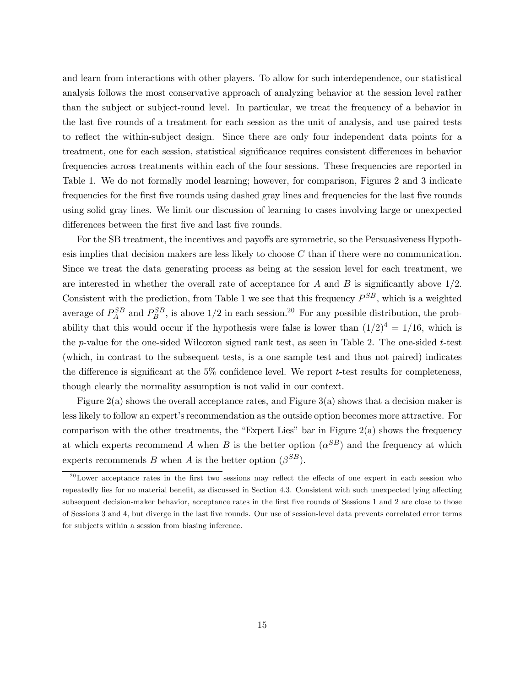and learn from interactions with other players. To allow for such interdependence, our statistical analysis follows the most conservative approach of analyzing behavior at the session level rather than the subject or subject-round level. In particular, we treat the frequency of a behavior in the last five rounds of a treatment for each session as the unit of analysis, and use paired tests to reflect the within-subject design. Since there are only four independent data points for a treatment, one for each session, statistical significance requires consistent differences in behavior frequencies across treatments within each of the four sessions. These frequencies are reported in Table 1. We do not formally model learning; however, for comparison, Figures 2 and 3 indicate frequencies for the first five rounds using dashed gray lines and frequencies for the last five rounds using solid gray lines. We limit our discussion of learning to cases involving large or unexpected differences between the first five and last five rounds.

For the SB treatment, the incentives and payoffs are symmetric, so the Persuasiveness Hypothesis implies that decision makers are less likely to choose  $C$  than if there were no communication. Since we treat the data generating process as being at the session level for each treatment, we are interested in whether the overall rate of acceptance for  $A$  and  $B$  is significantly above  $1/2$ . Consistent with the prediction, from Table 1 we see that this frequency  $P^{SB}$ , which is a weighted average of  $P_A^{SB}$  and  $P_B^{SB}$ , is above  $1/2$  in each session.<sup>20</sup> For any possible distribution, the probability that this would occur if the hypothesis were false is lower than  $(1/2)^4 = 1/16$ , which is the  $p$ -value for the one-sided Wilcoxon signed rank test, as seen in Table 2. The one-sided  $t$ -test (which, in contrast to the subsequent tests, is a one sample test and thus not paired) indicates the difference is significant at the  $5\%$  confidence level. We report t-test results for completeness, though clearly the normality assumption is not valid in our context.

Figure 2(a) shows the overall acceptance rates, and Figure 3(a) shows that a decision maker is less likely to follow an expert's recommendation as the outside option becomes more attractive. For comparison with the other treatments, the "Expert Lies" bar in Figure  $2(a)$  shows the frequency at which experts recommend A when B is the better option  $(\alpha^{SB})$  and the frequency at which experts recommends B when A is the better option ( $\beta^{SB}$ ).

 $^{20}$ Lower acceptance rates in the first two sessions may reflect the effects of one expert in each session who repeatedly lies for no material benefit, as discussed in Section 4.3. Consistent with such unexpected lying affecting subsequent decision-maker behavior, acceptance rates in the first five rounds of Sessions 1 and 2 are close to those of Sessions 3 and 4, but diverge in the last five rounds. Our use of session-level data prevents correlated error terms for subjects within a session from biasing inference.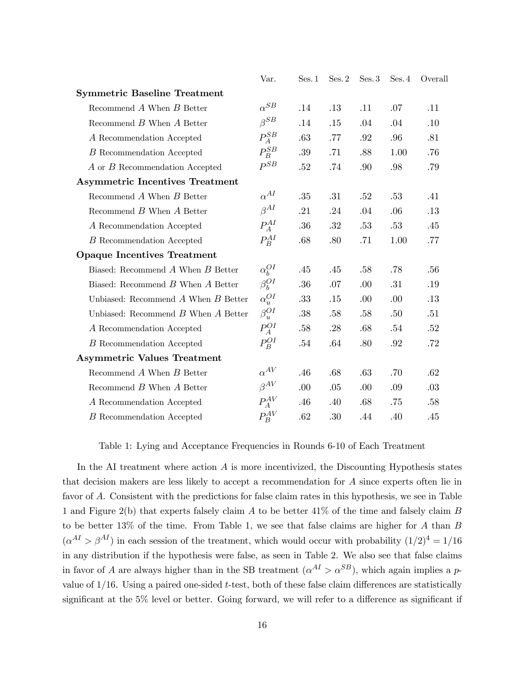|                                         | Var.            | Ses.1   | Ses. 2           | Ses.3 | Ses.4 | Overall |
|-----------------------------------------|-----------------|---------|------------------|-------|-------|---------|
| <b>Symmetric Baseline Treatment</b>     |                 |         |                  |       |       |         |
| Recommend $A$ When $B$ Better           | $\alpha^{SB}$   | .14     | .13              | .11   | .07   | .11     |
| Recommend B When A Better               | $\beta^{SB}$    | .14     | .15              | .04   | .04   | .10     |
| A Recommendation Accepted               | $P^{SB}_A$      | .63     | .77              | .92   | .96   | .81     |
| B Recommendation Accepted               | $P_B^{SB}$      | $.39\,$ | .71              | .88   | 1.00  | .76     |
| $A$ or $B$ Recommendation Accepted      | $P^{SB}$        | $.52\,$ | .74              | .90   | .98   | .79     |
| <b>Asymmetric Incentives Treatment</b>  |                 |         |                  |       |       |         |
| Recommend $A$ When $B$ Better           | $\alpha^{AI}$   | .35     | .31              | .52   | .53   | .41     |
| Recommend B When A Better               | $\beta^{AI}$    | .21     | .24              | .04   | .06   | .13     |
| A Recommendation Accepted               | $P^{AI}_A$      | .36     | .32              | .53   | .53   | .45     |
| B Recommendation Accepted               | $P^{AI}_{B}$    | .68     | .80              | .71   | 1.00  | .77     |
| <b>Opaque Incentives Treatment</b>      |                 |         |                  |       |       |         |
| Biased: Recommend $A$ When $B$ Better   | $\alpha_h^{OI}$ | .45     | .45              | .58   | .78   | .56     |
| Biased: Recommend B When A Better       | $\beta_h^{OI}$  | .36     | .07              | .00.  | .31   | .19     |
| Unbiased: Recommend $A$ When $B$ Better | $\alpha_u^{OI}$ | $.33\,$ | $.15\,$          | .00.  | .00   | .13     |
| Unbiased: Recommend $B$ When $A$ Better | $\beta_u^{OI}$  | .38     | .58 <sub>0</sub> | .58   | .50   | .51     |
| A Recommendation Accepted               | $P^{OI}_{A}$    | $.58\,$ | .28              | .68   | .54   | $.52\,$ |
| $B$ Recommendation Accepted             | $P^{OI}_{B}$    | $.54\,$ | .64              | .80   | .92   | .72     |
| <b>Asymmetric Values Treatment</b>      |                 |         |                  |       |       |         |
| Recommend A When B Better               | $\alpha^{AV}$   | .46     | .68              | .63   | .70   | .62     |
| Recommend B When A Better               | $\beta^{AV}$    | .00     | .05              | .00.  | .09   | .03     |
| A Recommendation Accepted               | $P^{AV}_A$      | .46     | .40              | .68   | .75   | .58     |
| B Recommendation Accepted               | $P^{AV}_B$      | .62     | .30              | .44   | .40   | .45     |

Table 1: Lying and Acceptance Frequencies in Rounds 6-10 of Each Treatment

In the AI treatment where action  $A$  is more incentivized, the Discounting Hypothesis states that decision makers are less likely to accept a recommendation for  $A$  since experts often lie in favor of A. Consistent with the predictions for false claim rates in this hypothesis, we see in Table 1 and Figure 2(b) that experts falsely claim  $\tilde{A}$  to be better 41% of the time and falsely claim  $\tilde{B}$ to be better  $13\%$  of the time. From Table 1, we see that false claims are higher for A than B  $(\alpha^{AI} > \beta^{AI})$  in each session of the treatment, which would occur with probability  $(1/2)^4 = 1/16$ in any distribution if the hypothesis were false, as seen in Table 2. We also see that false claims in favor of A are always higher than in the SB treatment  $({\alpha}^{AI} > {\alpha}^{SB})$ , which again implies a pvalue of  $1/16$ . Using a paired one-sided t-test, both of these false claim differences are statistically significant at the 5% level or better. Going forward, we will refer to a difference as significant if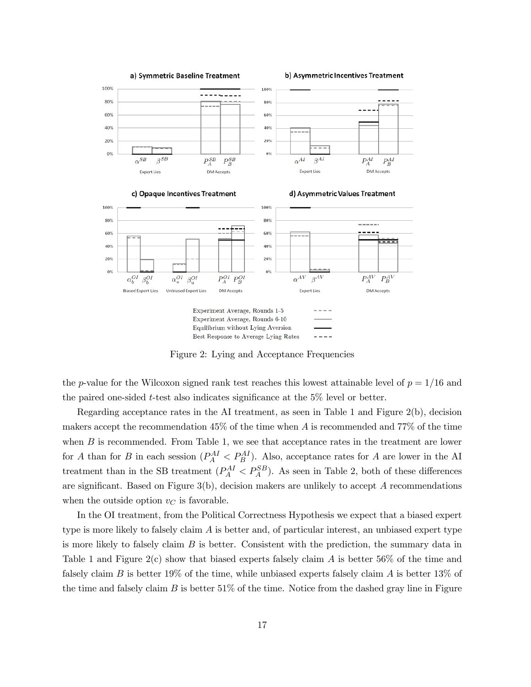

Figure 2: Lying and Acceptance Frequencies

the p-value for the Wilcoxon signed rank test reaches this lowest attainable level of  $p = 1/16$  and the paired one-sided  $t$ -test also indicates significance at the  $5\%$  level or better.

Regarding acceptance rates in the AI treatment, as seen in Table 1 and Figure 2(b), decision makers accept the recommendation  $45\%$  of the time when A is recommended and 77% of the time when  $B$  is recommended. From Table 1, we see that acceptance rates in the treatment are lower for A than for B in each session  $(P_A^{AI} < P_B^{AI})$ . Also, acceptance rates for A are lower in the AI treatment than in the SB treatment  $(P_A^{AI} < P_A^{SB})$ . As seen in Table 2, both of these differences are significant. Based on Figure  $3(b)$ , decision makers are unlikely to accept A recommendations when the outside option  $v<sub>C</sub>$  is favorable.

In the OI treatment, from the Political Correctness Hypothesis we expect that a biased expert type is more likely to falsely claim  $A$  is better and, of particular interest, an unbiased expert type is more likely to falsely claim  $B$  is better. Consistent with the prediction, the summary data in Table 1 and Figure 2(c) show that biased experts falsely claim  $\tilde{A}$  is better 56% of the time and falsely claim  $B$  is better 19% of the time, while unbiased experts falsely claim  $A$  is better 13% of the time and falsely claim  $B$  is better 51% of the time. Notice from the dashed gray line in Figure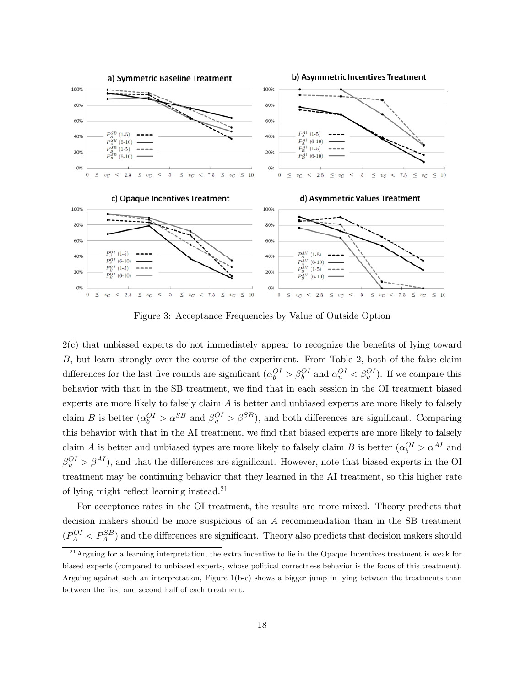

Figure 3: Acceptance Frequencies by Value of Outside Option

2(c) that unbiased experts do not immediately appear to recognize the benefits of lying toward , but learn strongly over the course of the experiment. From Table 2, both of the false claim differences for the last five rounds are significant  $(\alpha_b^{OI} > \beta_b^{OI}$  and  $\alpha_u^{OI} < \beta_u^{OI})$ . If we compare this behavior with that in the SB treatment, we find that in each session in the OI treatment biased experts are more likely to falsely claim  $A$  is better and unbiased experts are more likely to falsely claim B is better  $(\alpha_b^{OI} > \alpha^{SB} \text{ and } \beta_u^{OI} > \beta^{SB})$ , and both differences are significant. Comparing this behavior with that in the AI treatment, we find that biased experts are more likely to falsely claim A is better and unbiased types are more likely to falsely claim B is better  $(\alpha_b^{OI} > \alpha^{AI})$  and  $\beta_u^{OI} > \beta^{AI}$ , and that the differences are significant. However, note that biased experts in the OI treatment may be continuing behavior that they learned in the AI treatment, so this higher rate of lying might reflect learning instead.<sup>21</sup>

For acceptance rates in the OI treatment, the results are more mixed. Theory predicts that decision makers should be more suspicious of an  $A$  recommendation than in the SB treatment  $(P_A^{OI} < P_A^{SB})$  and the differences are significant. Theory also predicts that decision makers should

 $2<sup>1</sup>$  Arguing for a learning interpretation, the extra incentive to lie in the Opaque Incentives treatment is weak for biased experts (compared to unbiased experts, whose political correctness behavior is the focus of this treatment). Arguing against such an interpretation, Figure 1(b-c) shows a bigger jump in lying between the treatments than between the first and second half of each treatment.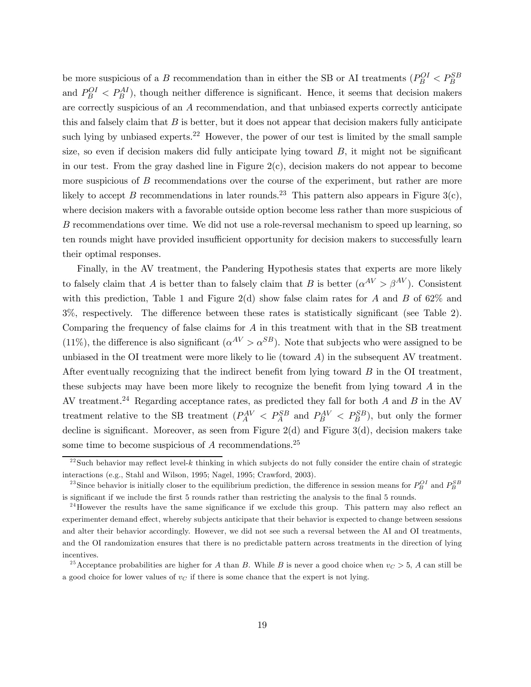be more suspicious of a B recommendation than in either the SB or AI treatments  $(P_B^{OI} < P_B^{SB})$ and  $P_B^{OI} < P_B^{AI}$ ), though neither difference is significant. Hence, it seems that decision makers are correctly suspicious of an  $A$  recommendation, and that unbiased experts correctly anticipate this and falsely claim that  $B$  is better, but it does not appear that decision makers fully anticipate such lying by unbiased experts.<sup>22</sup> However, the power of our test is limited by the small sample size, so even if decision makers did fully anticipate lying toward  $B$ , it might not be significant in our test. From the gray dashed line in Figure  $2(c)$ , decision makers do not appear to become more suspicious of  $B$  recommendations over the course of the experiment, but rather are more likely to accept *B* recommendations in later rounds.<sup>23</sup> This pattern also appears in Figure 3(c), where decision makers with a favorable outside option become less rather than more suspicious of  $B$  recommendations over time. We did not use a role-reversal mechanism to speed up learning, so ten rounds might have provided insufficient opportunity for decision makers to successfully learn their optimal responses.

Finally, in the AV treatment, the Pandering Hypothesis states that experts are more likely to falsely claim that A is better than to falsely claim that B is better  $({\alpha}^{AV} > {\beta}^{AV})$ . Consistent with this prediction, Table 1 and Figure 2(d) show false claim rates for  $A$  and  $B$  of 62% and 3%, respectively. The difference between these rates is statistically significant (see Table 2). Comparing the frequency of false claims for  $A$  in this treatment with that in the SB treatment (11%), the difference is also significant ( $\alpha^{AV} > \alpha^{SB}$ ). Note that subjects who were assigned to be unbiased in the OI treatment were more likely to lie (toward  $A$ ) in the subsequent AV treatment. After eventually recognizing that the indirect benefit from lying toward  $B$  in the OI treatment, these subjects may have been more likely to recognize the benefit from lying toward  $A$  in the AV treatment.<sup>24</sup> Regarding acceptance rates, as predicted they fall for both  $A$  and  $B$  in the AV treatment relative to the SB treatment  $(P_A^{AV} < P_A^{SB}$  and  $P_B^{AV} < P_B^{SB})$ , but only the former decline is significant. Moreover, as seen from Figure 2(d) and Figure 3(d), decision makers take some time to become suspicious of  $A$  recommendations.<sup>25</sup>

<sup>&</sup>lt;sup>22</sup> Such behavior may reflect level- $k$  thinking in which subjects do not fully consider the entire chain of strategic interactions (e.g., Stahl and Wilson, 1995; Nagel, 1995; Crawford, 2003).

<sup>&</sup>lt;sup>23</sup>Since behavior is initially closer to the equilibrium prediction, the difference in session means for  $P_B^{OI}$  and  $P_B^{SB}$ is significant if we include the first 5 rounds rather than restricting the analysis to the final 5 rounds.

 $^{24}$ However the results have the same significance if we exclude this group. This pattern may also reflect an experimenter demand effect, whereby subjects anticipate that their behavior is expected to change between sessions and alter their behavior accordingly. However, we did not see such a reversal between the AI and OI treatments, and the OI randomization ensures that there is no predictable pattern across treatments in the direction of lying incentives.

<sup>&</sup>lt;sup>25</sup> Acceptance probabilities are higher for A than B. While B is never a good choice when  $v_c > 5$ , A can still be a good choice for lower values of  $v<sub>C</sub>$  if there is some chance that the expert is not lying.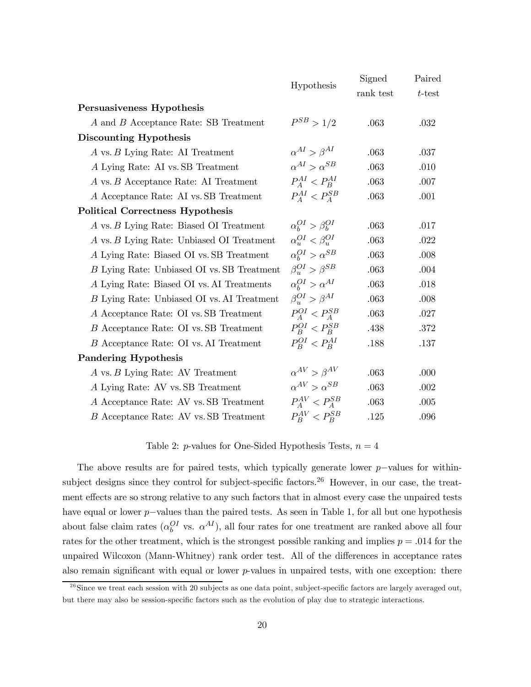|                                            | Hypothesis                     | Signed    | Paired |
|--------------------------------------------|--------------------------------|-----------|--------|
|                                            |                                | rank test | t-test |
| Persuasiveness Hypothesis                  |                                |           |        |
| A and B Acceptance Rate: SB Treatment      | $P^{SB} > 1/2$                 | .063      | .032   |
| Discounting Hypothesis                     |                                |           |        |
| A vs. B Lying Rate: AI Treatment           | $\alpha^{AI} > \beta^{AI}$     | .063      | .037   |
| A Lying Rate: AI vs. SB Treatment          | $\alpha^{AI} > \alpha^{SB}$    | .063      | .010   |
| A vs. B Acceptance Rate: AI Treatment      | $P_A^{AI} < P_B^{AI}$          | .063      | .007   |
| A Acceptance Rate: AI vs. SB Treatment     | $P_A^{AI} < P_A^{SB}$          | .063      | .001   |
| <b>Political Correctness Hypothesis</b>    |                                |           |        |
| A vs. B Lying Rate: Biased OI Treatment    | $\alpha_h^{OI} > \beta_h^{OI}$ | .063      | .017   |
| A vs. B Lying Rate: Unbiased OI Treatment  | $\alpha_u^{OI} < \beta_u^{OI}$ | .063      | .022   |
| A Lying Rate: Biased OI vs. SB Treatment   | $\alpha_h^{OI} > \alpha^{SB}$  | .063      | .008   |
| B Lying Rate: Unbiased OI vs. SB Treatment | $\beta_u^{OI} > \beta^{SB}$    | .063      | .004   |
| A Lying Rate: Biased OI vs. AI Treatments  | $\alpha_h^{OI} > \alpha^{AI}$  | .063      | .018   |
| B Lying Rate: Unbiased OI vs. AI Treatment | $\beta_u^{OI} > \beta^{AI}$    | .063      | .008   |
| A Acceptance Rate: OI vs. SB Treatment     | $P_4^{OI} < P_4^{SB}$          | .063      | .027   |
| B Acceptance Rate: OI vs. SB Treatment     | $P_R^{OI} < P_R^{SB}$          | .438      | .372   |
| B Acceptance Rate: OI vs. AI Treatment     | $P_R^{OI} < P_R^{AI}$          | .188      | .137   |
| Pandering Hypothesis                       |                                |           |        |
| A vs. B Lying Rate: AV Treatment           | $\alpha^{AV} > \beta^{AV}$     | .063      | .000   |
| A Lying Rate: AV vs. SB Treatment          | $\alpha^{AV} > \alpha^{SB}$    | .063      | .002   |
| A Acceptance Rate: AV vs. SB Treatment     | $P_A^{AV} < P_A^{SB}$          | .063      | .005   |
| B Acceptance Rate: AV vs. SB Treatment     | $P_R^{AV} < P_R^{SB}$          | .125      | .096   |

Table 2: p-values for One-Sided Hypothesis Tests,  $n = 4$ 

The above results are for paired tests, which typically generate lower  $p$ -values for withinsubject designs since they control for subject-specific factors.<sup>26</sup> However, in our case, the treatment effects are so strong relative to any such factors that in almost every case the unpaired tests have equal or lower  $p$ -values than the paired tests. As seen in Table 1, for all but one hypothesis about false claim rates  $(\alpha_b^{OI}$  vs.  $\alpha^{AI})$ , all four rates for one treatment are ranked above all four rates for the other treatment, which is the strongest possible ranking and implies  $p = .014$  for the unpaired Wilcoxon (Mann-Whitney) rank order test. All of the differences in acceptance rates also remain significant with equal or lower  $p$ -values in unpaired tests, with one exception: there

 $^{26}$ Since we treat each session with 20 subjects as one data point, subject-specific factors are largely averaged out, but there may also be session-specific factors such as the evolution of play due to strategic interactions.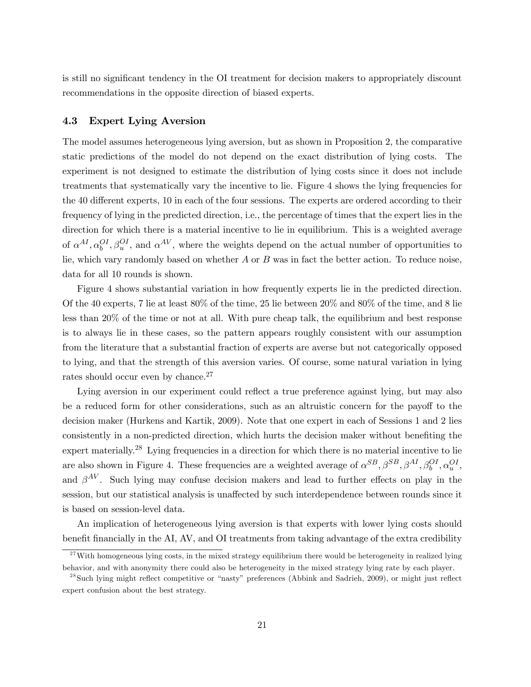is still no significant tendency in the OI treatment for decision makers to appropriately discount recommendations in the opposite direction of biased experts.

#### 4.3 Expert Lying Aversion

The model assumes heterogeneous lying aversion, but as shown in Proposition 2, the comparative static predictions of the model do not depend on the exact distribution of lying costs. The experiment is not designed to estimate the distribution of lying costs since it does not include treatments that systematically vary the incentive to lie. Figure 4 shows the lying frequencies for the 40 different experts, 10 in each of the four sessions. The experts are ordered according to their frequency of lying in the predicted direction, i.e., the percentage of times that the expert lies in the direction for which there is a material incentive to lie in equilibrium. This is a weighted average of  $\alpha^{AI}, \alpha_b^{OI}, \beta_u^{OI}$ , and  $\alpha^{AV}$ , where the weights depend on the actual number of opportunities to lie, which vary randomly based on whether  $A$  or  $B$  was in fact the better action. To reduce noise, data for all 10 rounds is shown.

Figure 4 shows substantial variation in how frequently experts lie in the predicted direction. Of the 40 experts, 7 lie at least 80% of the time, 25 lie between 20% and 80% of the time, and 8 lie less than 20% of the time or not at all. With pure cheap talk, the equilibrium and best response is to always lie in these cases, so the pattern appears roughly consistent with our assumption from the literature that a substantial fraction of experts are averse but not categorically opposed to lying, and that the strength of this aversion varies. Of course, some natural variation in lying rates should occur even by chance.  $^{27}$ 

Lying aversion in our experiment could reflect a true preference against lying, but may also be a reduced form for other considerations, such as an altruistic concern for the payoff to the decision maker (Hurkens and Kartik, 2009). Note that one expert in each of Sessions 1 and 2 lies consistently in a non-predicted direction, which hurts the decision maker without benefiting the expert materially.<sup>28</sup> Lying frequencies in a direction for which there is no material incentive to lie are also shown in Figure 4. These frequencies are a weighted average of  $\alpha^{SB}$ ,  $\beta^{SB}$ ,  $\beta^{AI}$ ,  $\beta^{OI}_b$ ,  $\alpha_u^{OI}$ , and  $\beta^{AV}$ . Such lying may confuse decision makers and lead to further effects on play in the session, but our statistical analysis is unaffected by such interdependence between rounds since it is based on session-level data.

An implication of heterogeneous lying aversion is that experts with lower lying costs should benefit financially in the AI, AV, and OI treatments from taking advantage of the extra credibility

 $27$  With homogeneous lying costs, in the mixed strategy equilibrium there would be heterogeneity in realized lying behavior, and with anonymity there could also be heterogeneity in the mixed strategy lying rate by each player.

 $^{28}$ Such lying might reflect competitive or "nasty" preferences (Abbink and Sadrieh, 2009), or might just reflect expert confusion about the best strategy.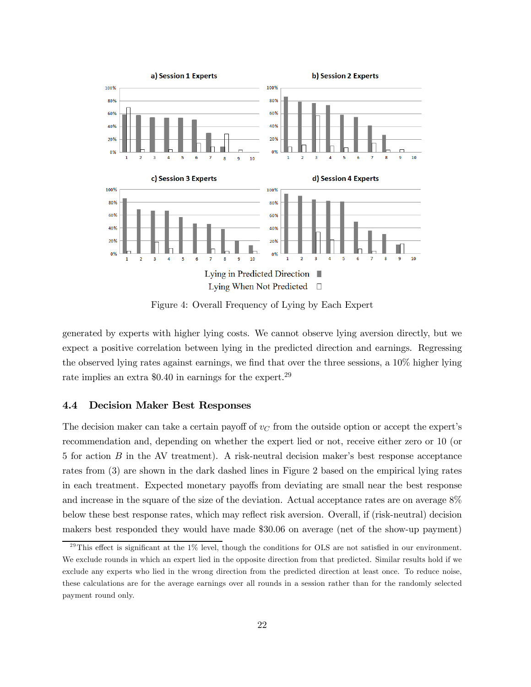

Figure 4: Overall Frequency of Lying by Each Expert

generated by experts with higher lying costs. We cannot observe lying aversion directly, but we expect a positive correlation between lying in the predicted direction and earnings. Regressing the observed lying rates against earnings, we find that over the three sessions, a 10% higher lying rate implies an extra \$0.40 in earnings for the expert.<sup>29</sup>

#### 4.4 Decision Maker Best Responses

The decision maker can take a certain payoff of  $v<sub>C</sub>$  from the outside option or accept the expert's recommendation and, depending on whether the expert lied or not, receive either zero or 10 (or 5 for action  $B$  in the AV treatment). A risk-neutral decision maker's best response acceptance rates from (3) are shown in the dark dashed lines in Figure 2 based on the empirical lying rates in each treatment. Expected monetary payoffs from deviating are small near the best response and increase in the square of the size of the deviation. Actual acceptance rates are on average 8% below these best response rates, which may reflect risk aversion. Overall, if (risk-neutral) decision makers best responded they would have made \$30.06 on average (net of the show-up payment)

<sup>&</sup>lt;sup>29</sup>This effect is significant at the  $1\%$  level, though the conditions for OLS are not satisfied in our environment. We exclude rounds in which an expert lied in the opposite direction from that predicted. Similar results hold if we exclude any experts who lied in the wrong direction from the predicted direction at least once. To reduce noise, these calculations are for the average earnings over all rounds in a session rather than for the randomly selected payment round only.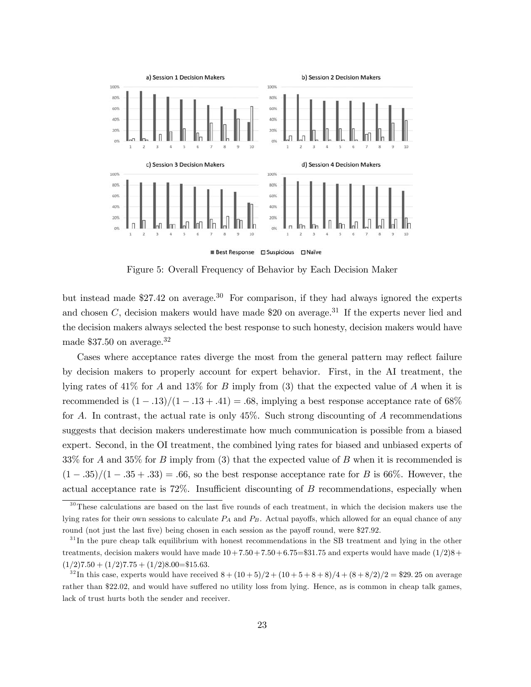

Figure 5: Overall Frequency of Behavior by Each Decision Maker

but instead made \$27.42 on average.<sup>30</sup> For comparison, if they had always ignored the experts and chosen C, decision makers would have made \$20 on average.<sup>31</sup> If the experts never lied and the decision makers always selected the best response to such honesty, decision makers would have made  $$37.50$  on average.<sup>32</sup>

Cases where acceptance rates diverge the most from the general pattern may reflect failure by decision makers to properly account for expert behavior. First, in the AI treatment, the lying rates of  $41\%$  for A and  $13\%$  for B imply from (3) that the expected value of A when it is recommended is  $(1 - .13)/(1 - .13 + .41) = .68$ , implying a best response acceptance rate of 68% for  $A$ . In contrast, the actual rate is only 45%. Such strong discounting of  $A$  recommendations suggests that decision makers underestimate how much communication is possible from a biased expert. Second, in the OI treatment, the combined lying rates for biased and unbiased experts of  $33\%$  for A and  $35\%$  for B imply from (3) that the expected value of B when it is recommended is  $(1-.35)/(1-.35 + .33) = .66$ , so the best response acceptance rate for B is 66%. However, the actual acceptance rate is  $72\%$ . Insufficient discounting of B recommendations, especially when

 $30$ These calculations are based on the last five rounds of each treatment, in which the decision makers use the lying rates for their own sessions to calculate  $P_A$  and  $P_B$ . Actual payoffs, which allowed for an equal chance of any round (not just the last five) being chosen in each session as the payoff round, were \$27.92.

<sup>&</sup>lt;sup>31</sup>In the pure cheap talk equilibrium with honest recommendations in the SB treatment and lying in the other treatments, decision makers would have made  $10+7.50+7.50+6.75=831.75$  and experts would have made  $(1/2)8+$  $(1/2)7.50 + (1/2)7.75 + (1/2)8.00 = $15.63$ .

<sup>&</sup>lt;sup>32</sup>In this case, experts would have received  $8 + (10 + 5)/2 + (10 + 5 + 8 + 8)/4 + (8 + 8)/2 = $29.25$  on average rather than \$22.02, and would have suffered no utility loss from lying. Hence, as is common in cheap talk games, lack of trust hurts both the sender and receiver.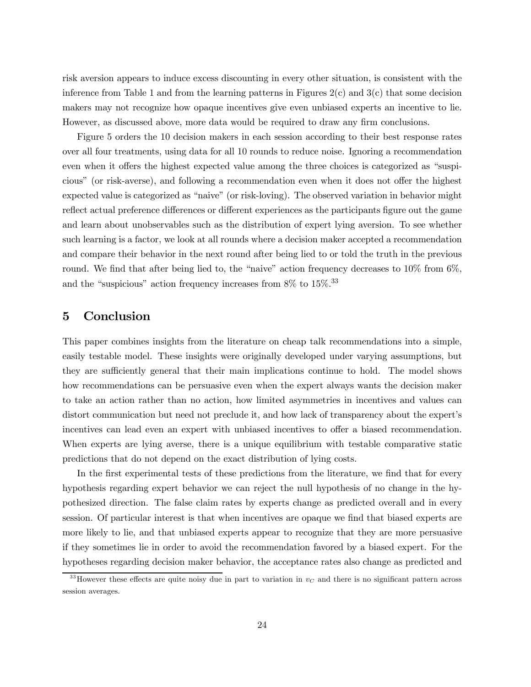risk aversion appears to induce excess discounting in every other situation, is consistent with the inference from Table 1 and from the learning patterns in Figures  $2(c)$  and  $3(c)$  that some decision makers may not recognize how opaque incentives give even unbiased experts an incentive to lie. However, as discussed above, more data would be required to draw any firm conclusions.

Figure 5 orders the 10 decision makers in each session according to their best response rates over all four treatments, using data for all 10 rounds to reduce noise. Ignoring a recommendation even when it offers the highest expected value among the three choices is categorized as "suspicious" (or risk-averse), and following a recommendation even when it does not offer the highest expected value is categorized as "naive" (or risk-loving). The observed variation in behavior might reflect actual preference differences or different experiences as the participants figure out the game and learn about unobservables such as the distribution of expert lying aversion. To see whether such learning is a factor, we look at all rounds where a decision maker accepted a recommendation and compare their behavior in the next round after being lied to or told the truth in the previous round. We find that after being lied to, the "naive" action frequency decreases to 10% from 6%, and the "suspicious" action frequency increases from  $8\%$  to  $15\%$ .<sup>33</sup>

# 5 Conclusion

This paper combines insights from the literature on cheap talk recommendations into a simple, easily testable model. These insights were originally developed under varying assumptions, but they are sufficiently general that their main implications continue to hold. The model shows how recommendations can be persuasive even when the expert always wants the decision maker to take an action rather than no action, how limited asymmetries in incentives and values can distort communication but need not preclude it, and how lack of transparency about the expert's incentives can lead even an expert with unbiased incentives to offer a biased recommendation. When experts are lying averse, there is a unique equilibrium with testable comparative static predictions that do not depend on the exact distribution of lying costs.

In the first experimental tests of these predictions from the literature, we find that for every hypothesis regarding expert behavior we can reject the null hypothesis of no change in the hypothesized direction. The false claim rates by experts change as predicted overall and in every session. Of particular interest is that when incentives are opaque we find that biased experts are more likely to lie, and that unbiased experts appear to recognize that they are more persuasive if they sometimes lie in order to avoid the recommendation favored by a biased expert. For the hypotheses regarding decision maker behavior, the acceptance rates also change as predicted and

<sup>&</sup>lt;sup>33</sup> However these effects are quite noisy due in part to variation in  $v<sub>C</sub>$  and there is no significant pattern across session averages.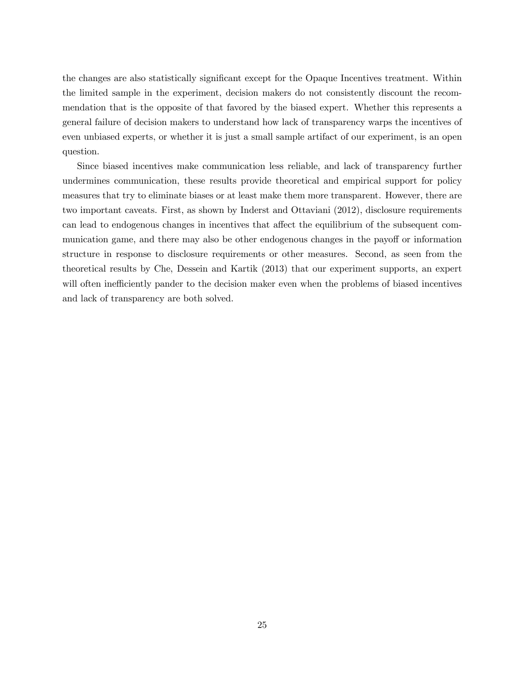the changes are also statistically significant except for the Opaque Incentives treatment. Within the limited sample in the experiment, decision makers do not consistently discount the recommendation that is the opposite of that favored by the biased expert. Whether this represents a general failure of decision makers to understand how lack of transparency warps the incentives of even unbiased experts, or whether it is just a small sample artifact of our experiment, is an open question.

Since biased incentives make communication less reliable, and lack of transparency further undermines communication, these results provide theoretical and empirical support for policy measures that try to eliminate biases or at least make them more transparent. However, there are two important caveats. First, as shown by Inderst and Ottaviani (2012), disclosure requirements can lead to endogenous changes in incentives that affect the equilibrium of the subsequent communication game, and there may also be other endogenous changes in the payoff or information structure in response to disclosure requirements or other measures. Second, as seen from the theoretical results by Che, Dessein and Kartik (2013) that our experiment supports, an expert will often inefficiently pander to the decision maker even when the problems of biased incentives and lack of transparency are both solved.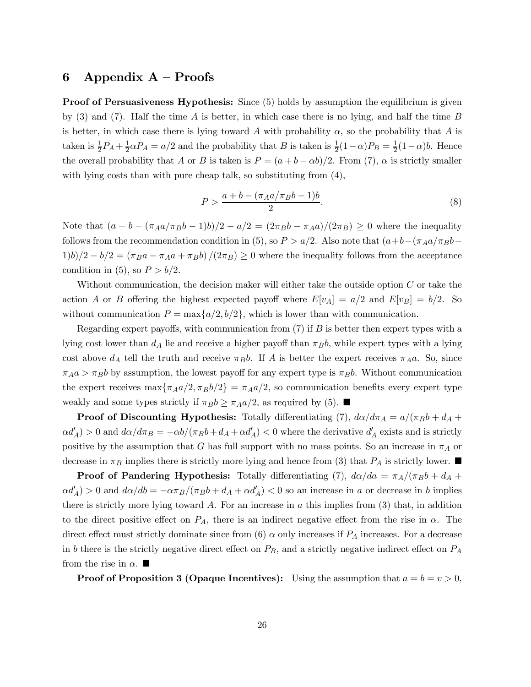# 6 Appendix  $A -$ Proofs

**Proof of Persuasiveness Hypothesis:** Since (5) holds by assumption the equilibrium is given by  $(3)$  and  $(7)$ . Half the time A is better, in which case there is no lying, and half the time B is better, in which case there is lying toward A with probability  $\alpha$ , so the probability that A is taken is  $\frac{1}{2}P_A + \frac{1}{2}\alpha P_A = a/2$  and the probability that B is taken is  $\frac{1}{2}(1-\alpha)P_B = \frac{1}{2}(1-\alpha)b$ . Hence the overall probability that A or B is taken is  $P = (a + b - \alpha b)/2$ . From (7),  $\alpha$  is strictly smaller with lying costs than with pure cheap talk, so substituting from  $(4)$ ,

$$
P > \frac{a + b - (\pi_A a / \pi_B b - 1)b}{2}.
$$
\n(8)

Note that  $(a + b - (\pi_A a/\pi_B b - 1)b)/2 - a/2 = (2\pi_B b - \pi_A a)/(2\pi_B) \geq 0$  where the inequality follows from the recommendation condition in (5), so  $P > a/2$ . Also note that  $(a+b-(\pi_A a/\pi_B b (1)b/2 - b/2 = (\pi_B a - \pi_A a + \pi_B b)/(2\pi_B) \geq 0$  where the inequality follows from the acceptance condition in (5), so  $P > b/2$ .

Without communication, the decision maker will either take the outside option  $C$  or take the action A or B offering the highest expected payoff where  $E[v_A] = a/2$  and  $E[v_B] = b/2$ . So without communication  $P = \max\{a/2, b/2\}$ , which is lower than with communication.

Regarding expert payoffs, with communication from  $(7)$  if  $B$  is better then expert types with a lying cost lower than  $d_A$  lie and receive a higher payoff than  $\pi_B b$ , while expert types with a lying cost above  $d_A$  tell the truth and receive  $\pi_B b$ . If A is better the expert receives  $\pi_A a$ . So, since  $\pi_A a > \pi_B b$  by assumption, the lowest payoff for any expert type is  $\pi_B b$ . Without communication the expert receives  $\max{\lbrace \pi_{A}a/2, \pi_{B}b/2 \rbrace} = \pi_{A}a/2$ , so communication benefits every expert type weakly and some types strictly if  $\pi_B b \geq \pi_A a/2$ , as required by (5).

**Proof of Discounting Hypothesis:** Totally differentiating (7),  $d\alpha/d\pi_A = a/(\pi_B b + d_A +$  $\alpha d'_{A}$ ) > 0 and  $d\alpha/d\pi_{B} = -\alpha b/(\pi_{B}b + d_{A} + \alpha d'_{A}) < 0$  where the derivative  $d'_{A}$  exists and is strictly positive by the assumption that G has full support with no mass points. So an increase in  $\pi_A$  or decrease in  $\pi_B$  implies there is strictly more lying and hence from (3) that  $P_A$  is strictly lower.

**Proof of Pandering Hypothesis:** Totally differentiating (7),  $d\alpha/da = \pi_A/(\pi_B b + d_A +$  $\alpha d'_{A}$ ) > 0 and  $d\alpha/db = -\alpha \pi_B/(\pi_B b + d_A + \alpha d'_{A})$  < 0 so an increase in *a* or decrease in *b* implies there is strictly more lying toward  $A$ . For an increase in  $a$  this implies from  $(3)$  that, in addition to the direct positive effect on  $P_A$ , there is an indirect negative effect from the rise in  $\alpha$ . The direct effect must strictly dominate since from (6)  $\alpha$  only increases if  $P_A$  increases. For a decrease in b there is the strictly negative direct effect on  $P_B$ , and a strictly negative indirect effect on  $P_A$ from the rise in  $\alpha$ .

**Proof of Proposition 3 (Opaque Incentives):** Using the assumption that  $a = b = v > 0$ ,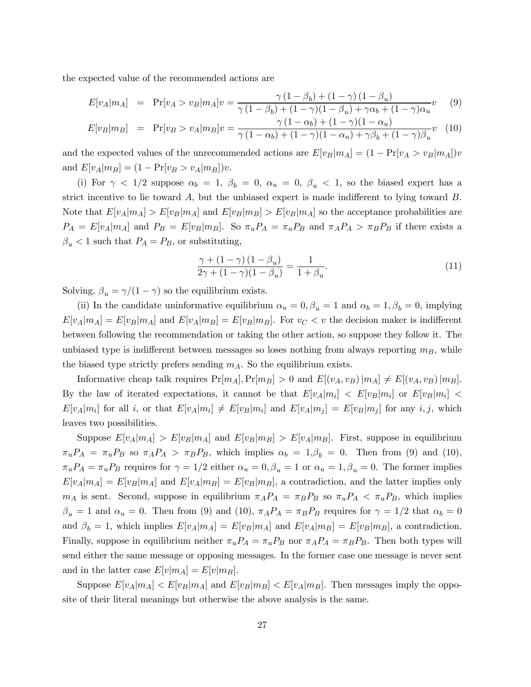the expected value of the recommended actions are

$$
E[v_A|m_A] = \Pr[v_A > v_B|m_A]v = \frac{\gamma (1 - \beta_b) + (1 - \gamma)(1 - \beta_u)}{\gamma (1 - \beta_b) + (1 - \gamma)(1 - \beta_u) + \gamma \alpha_b + (1 - \gamma)\alpha_u}v \tag{9}
$$

$$
E[v_B|m_B] = \Pr[v_B > v_A|m_B]v = \frac{\gamma (1 - \alpha_b) + (1 - \gamma)(1 - \alpha_u)}{\gamma (1 - \alpha_b) + (1 - \gamma)(1 - \alpha_u) + \gamma \beta_b + (1 - \gamma)\beta_u}v \tag{10}
$$

and the expected values of the unrecommended actions are  $E[v_B|m_A] = (1 - Pr[v_A > v_B|m_A])v$ and  $E[v_A|m_B] = (1 - Pr[v_B > v_A|m_B])v$ .

(i) For  $\gamma$  < 1/2 suppose  $\alpha_b = 1$ ,  $\beta_b = 0$ ,  $\alpha_u = 0$ ,  $\beta_u < 1$ , so the biased expert has a strict incentive to lie toward  $A$ , but the unbiased expert is made indifferent to lying toward  $B$ . Note that  $E[v_A|m_A] > E[v_B|m_A]$  and  $E[v_B|m_B] > E[v_B|m_A]$  so the acceptance probabilities are  $P_A = E[v_A|m_A]$  and  $P_B = E[v_B|m_B]$ . So  $\pi_u P_A = \pi_u P_B$  and  $\pi_A P_A > \pi_B P_B$  if there exists a  $\beta_u$  < 1 such that  $P_A = P_B$ , or substituting,

$$
\frac{\gamma + (1 - \gamma)(1 - \beta_u)}{2\gamma + (1 - \gamma)(1 - \beta_u)} = \frac{1}{1 + \beta_u}.\tag{11}
$$

Solving,  $\beta_u = \gamma/(1 - \gamma)$  so the equilibrium exists.

(ii) In the candidate uninformative equilibrium  $\alpha_u = 0$ ,  $\beta_u = 1$  and  $\alpha_b = 1$ ,  $\beta_b = 0$ , implying  $E[v_A|m_A] = E[v_B|m_A]$  and  $E[v_A|m_B] = E[v_B|m_B]$ . For  $v_C < v$  the decision maker is indifferent between following the recommendation or taking the other action, so suppose they follow it. The unbiased type is indifferent between messages so loses nothing from always reporting  $m_B$ , while the biased type strictly prefers sending  $m_A$ . So the equilibrium exists.

Informative cheap talk requires  $Pr[m_A], Pr[m_B] > 0$  and  $E[(v_A, v_B) | m_A] \neq E[(v_A, v_B) | m_B]$ . By the law of iterated expectations, it cannot be that  $E[v_A|m_i] < E[v_B|m_i]$  or  $E[v_B|m_i]$  $E[v_A|m_i]$  for all i, or that  $E[v_A|m_i] \neq E[v_B|m_i]$  and  $E[v_A|m_j] = E[v_B|m_j]$  for any i, j, which leaves two possibilities.

Suppose  $E[v_A|m_A] > E[v_B|m_A]$  and  $E[v_B|m_B] > E[v_A|m_B]$ . First, suppose in equilibrium  $\pi_u P_A = \pi_u P_B$  so  $\pi_A P_A > \pi_B P_B$ , which implies  $\alpha_b = 1, \beta_b = 0$ . Then from (9) and (10),  $\pi_u P_A = \pi_u P_B$  requires for  $\gamma = 1/2$  either  $\alpha_u = 0$ ,  $\beta_u = 1$  or  $\alpha_u = 1$ ,  $\beta_u = 0$ . The former implies  $E[v_A|m_A] = E[v_B|m_A]$  and  $E[v_A|m_B] = E[v_B|m_B]$ , a contradiction, and the latter implies only  $m_A$  is sent. Second, suppose in equilibrium  $\pi_A P_A = \pi_B P_B$  so  $\pi_u P_A < \pi_u P_B$ , which implies  $\beta_u = 1$  and  $\alpha_u = 0$ . Then from (9) and (10),  $\pi_A P_A = \pi_B P_B$  requires for  $\gamma = 1/2$  that  $\alpha_b = 0$ and  $\beta_b = 1$ , which implies  $E[v_A|m_A] = E[v_B|m_A]$  and  $E[v_A|m_B] = E[v_B|m_B]$ , a contradiction. Finally, suppose in equilibrium neither  $\pi_u P_A = \pi_u P_B$  nor  $\pi_A P_A = \pi_B P_B$ . Then both types will send either the same message or opposing messages. In the former case one message is never sent and in the latter case  $E[v|m_A] = E[v|m_B]$ .

Suppose  $E[v_A|m_A] < E[v_B|m_A]$  and  $E[v_B|m_B] < E[v_A|m_B]$ . Then messages imply the opposite of their literal meanings but otherwise the above analysis is the same.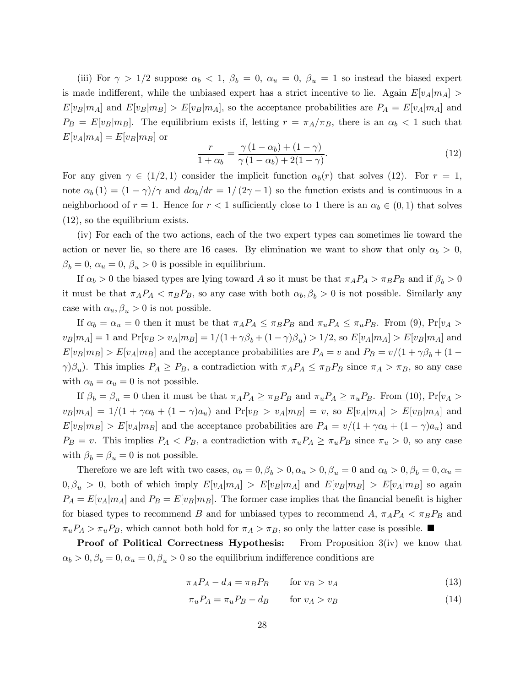(iii) For  $\gamma > 1/2$  suppose  $\alpha_b < 1$ ,  $\beta_b = 0$ ,  $\alpha_u = 0$ ,  $\beta_u = 1$  so instead the biased expert is made indifferent, while the unbiased expert has a strict incentive to lie. Again  $E[v_A|m_A] >$  $E[v_B|m_A]$  and  $E[v_B|m_B] > E[v_B|m_A]$ , so the acceptance probabilities are  $P_A = E[v_A|m_A]$  and  $P_B = E[v_B|m_B]$ . The equilibrium exists if, letting  $r = \pi_A/\pi_B$ , there is an  $\alpha_b < 1$  such that  $E[v_A|m_A] = E[v_B|m_B]$  or

$$
\frac{r}{1+\alpha_b} = \frac{\gamma(1-\alpha_b) + (1-\gamma)}{\gamma(1-\alpha_b) + 2(1-\gamma)}.
$$
\n(12)

For any given  $\gamma \in (1/2, 1)$  consider the implicit function  $\alpha_b(r)$  that solves (12). For  $r = 1$ , note  $\alpha_b(1) = (1 - \gamma)/\gamma$  and  $d\alpha_b/dr = 1/(2\gamma - 1)$  so the function exists and is continuous in a neighborhood of  $r = 1$ . Hence for  $r < 1$  sufficiently close to 1 there is an  $\alpha_b \in (0,1)$  that solves (12), so the equilibrium exists.

(iv) For each of the two actions, each of the two expert types can sometimes lie toward the action or never lie, so there are 16 cases. By elimination we want to show that only  $\alpha_b > 0$ ,  $\beta_b = 0,\, \alpha_u = 0,\, \beta_u > 0$  is possible in equilibrium.

If  $\alpha_b > 0$  the biased types are lying toward A so it must be that  $\pi_A P_A > \pi_B P_B$  and if  $\beta_b > 0$ it must be that  $\pi_A P_A < \pi_B P_B$ , so any case with both  $\alpha_b, \beta_b > 0$  is not possible. Similarly any case with  $\alpha_u, \beta_u > 0$  is not possible.

If  $\alpha_b = \alpha_u = 0$  then it must be that  $\pi_A P_A \leq \pi_B P_B$  and  $\pi_u P_A \leq \pi_u P_B$ . From (9),  $Pr[v_A >$  $|v_B|m_A| = 1$  and  $Pr[v_B > v_A|m_B] = 1/(1 + \gamma \beta_b + (1 - \gamma)\beta_u) > 1/2$ , so  $E[v_A|m_A] > E[v_B|m_A]$  and  $E[v_B|m_B]$  >  $E[v_A|m_B]$  and the acceptance probabilities are  $P_A = v$  and  $P_B = v/(1 + \gamma \beta_b + (1 \gamma$ ) $\beta_u$ ). This implies  $P_A \ge P_B$ , a contradiction with  $\pi_A P_A \le \pi_B P_B$  since  $\pi_A > \pi_B$ , so any case with  $\alpha_b = \alpha_u = 0$  is not possible.

If  $\beta_b = \beta_u = 0$  then it must be that  $\pi_A P_A \geq \pi_B P_B$  and  $\pi_u P_A \geq \pi_u P_B$ . From (10),  $Pr[v_A >$  $v_B[m_A] = 1/(1 + \gamma \alpha_b + (1 - \gamma) a_u)$  and  $Pr[v_B > v_A | m_B] = v$ , so  $E[v_A | m_A] > E[v_B | m_A]$  and  $E[v_B|m_B] > E[v_A|m_B]$  and the acceptance probabilities are  $P_A = v/(1 + \gamma \alpha_b + (1 - \gamma) a_u)$  and  $P_B = v$ . This implies  $P_A < P_B$ , a contradiction with  $\pi_u P_A \ge \pi_u P_B$  since  $\pi_u > 0$ , so any case with  $\beta_b = \beta_u = 0$  is not possible.

Therefore we are left with two cases,  $\alpha_b = 0$ ,  $\beta_b > 0$ ,  $\alpha_u > 0$ ,  $\beta_u = 0$  and  $\alpha_b > 0$ ,  $\beta_b = 0$ ,  $\alpha_u =$  $0, \beta_u > 0$ , both of which imply  $E[v_A|m_A] > E[v_B|m_A]$  and  $E[v_B|m_B] > E[v_A|m_B]$  so again  $P_A = E[v_A|m_A]$  and  $P_B = E[v_B|m_B]$ . The former case implies that the financial benefit is higher for biased types to recommend B and for unbiased types to recommend A,  $\pi_A P_A < \pi_B P_B$  and  $\pi_u P_A > \pi_u P_B$ , which cannot both hold for  $\pi_A > \pi_B$ , so only the latter case is possible.

Proof of Political Correctness Hypothesis: From Proposition 3(iv) we know that  $\alpha_b > 0, \beta_b = 0, \alpha_u = 0, \beta_u > 0$  so the equilibrium indifference conditions are

$$
\pi_A P_A - d_A = \pi_B P_B \qquad \text{for } v_B > v_A \tag{13}
$$

$$
\pi_u P_A = \pi_u P_B - d_B \qquad \text{for } v_A > v_B \tag{14}
$$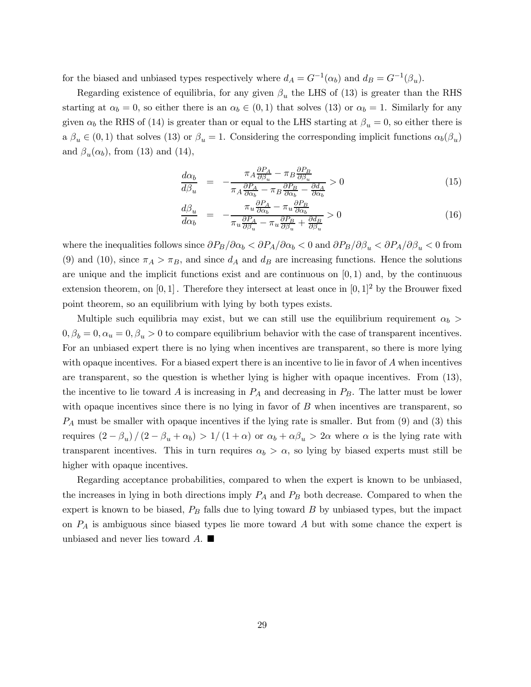for the biased and unbiased types respectively where  $d_A = G^{-1}(\alpha_b)$  and  $d_B = G^{-1}(\beta_u)$ .

Regarding existence of equilibria, for any given  $\beta_u$  the LHS of (13) is greater than the RHS starting at  $\alpha_b = 0$ , so either there is an  $\alpha_b \in (0,1)$  that solves (13) or  $\alpha_b = 1$ . Similarly for any given  $\alpha_b$  the RHS of (14) is greater than or equal to the LHS starting at  $\beta_u = 0$ , so either there is a  $\beta_u \in (0,1)$  that solves (13) or  $\beta_u = 1$ . Considering the corresponding implicit functions  $\alpha_b(\beta_u)$ and  $\beta_u(\alpha_b)$ , from (13) and (14),

$$
\frac{d\alpha_b}{d\beta_u} = -\frac{\pi_A \frac{\partial P_A}{\partial \beta_u} - \pi_B \frac{\partial P_B}{\partial \beta_u}}{\pi_A \frac{\partial P_A}{\partial \alpha_b} - \pi_B \frac{\partial P_B}{\partial \alpha_b} - \frac{\partial d_A}{\partial \alpha_b}} > 0
$$
\n(15)

$$
\frac{d\beta_u}{d\alpha_b} = -\frac{\pi_u \frac{\partial P_A}{\partial \alpha_b} - \pi_u \frac{\partial P_B}{\partial \alpha_b}}{\pi_u \frac{\partial P_A}{\partial \beta_u} - \pi_u \frac{\partial P_B}{\partial \beta_u} + \frac{\partial d_B}{\partial \beta_u}} > 0
$$
\n(16)

where the inequalities follows since  $\partial P_B/\partial \alpha_b < \partial P_A/\partial \alpha_b < 0$  and  $\partial P_B/\partial \beta_u < \partial P_A/\partial \beta_u < 0$  from (9) and (10), since  $\pi_A > \pi_B$ , and since  $d_A$  and  $d_B$  are increasing functions. Hence the solutions are unique and the implicit functions exist and are continuous on  $(0, 1)$  and, by the continuous extension theorem, on  $[0, 1]$ . Therefore they intersect at least once in  $[0, 1]^2$  by the Brouwer fixed point theorem, so an equilibrium with lying by both types exists.

Multiple such equilibria may exist, but we can still use the equilibrium requirement  $\alpha_b$  $0, \beta_b = 0, \alpha_u = 0, \beta_u > 0$  to compare equilibrium behavior with the case of transparent incentives. For an unbiased expert there is no lying when incentives are transparent, so there is more lying with opaque incentives. For a biased expert there is an incentive to lie in favor of  $A$  when incentives are transparent, so the question is whether lying is higher with opaque incentives. From (13), the incentive to lie toward A is increasing in  $P_A$  and decreasing in  $P_B$ . The latter must be lower with opaque incentives since there is no lying in favor of  $B$  when incentives are transparent, so  $P_A$  must be smaller with opaque incentives if the lying rate is smaller. But from  $(9)$  and  $(3)$  this requires  $(2 - \beta_u)/(2 - \beta_u + \alpha_b) > 1/(1 + \alpha)$  or  $\alpha_b + \alpha \beta_u > 2\alpha$  where  $\alpha$  is the lying rate with transparent incentives. This in turn requires  $\alpha_b > \alpha$ , so lying by biased experts must still be higher with opaque incentives.

Regarding acceptance probabilities, compared to when the expert is known to be unbiased, the increases in lying in both directions imply  $P_A$  and  $P_B$  both decrease. Compared to when the expert is known to be biased,  $P_B$  falls due to lying toward  $B$  by unbiased types, but the impact on  $P_A$  is ambiguous since biased types lie more toward  $A$  but with some chance the expert is unbiased and never lies toward  $A$ .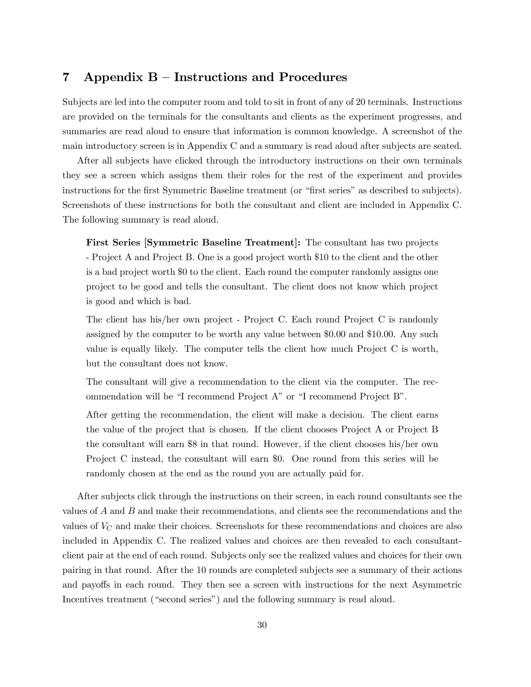# 7 Appendix  $B$  – Instructions and Procedures

Subjects are led into the computer room and told to sit in front of any of 20 terminals. Instructions are provided on the terminals for the consultants and clients as the experiment progresses, and summaries are read aloud to ensure that information is common knowledge. A screenshot of the main introductory screen is in Appendix C and a summary is read aloud after subjects are seated.

After all subjects have clicked through the introductory instructions on their own terminals they see a screen which assigns them their roles for the rest of the experiment and provides instructions for the first Symmetric Baseline treatment (or "first series" as described to subjects). Screenshots of these instructions for both the consultant and client are included in Appendix C. The following summary is read aloud.

First Series [Symmetric Baseline Treatment]: The consultant has two projects - Project A and Project B. One is a good project worth \$10 to the client and the other is a bad project worth \$0 to the client. Each round the computer randomly assigns one project to be good and tells the consultant. The client does not know which project is good and which is bad.

The client has his/her own project - Project C. Each round Project C is randomly assigned by the computer to be worth any value between \$0.00 and \$10.00. Any such value is equally likely. The computer tells the client how much Project C is worth, but the consultant does not know.

The consultant will give a recommendation to the client via the computer. The recommendation will be "I recommend Project A" or "I recommend Project B".

After getting the recommendation, the client will make a decision. The client earns the value of the project that is chosen. If the client chooses Project A or Project B the consultant will earn \$8 in that round. However, if the client chooses his/her own Project C instead, the consultant will earn \$0. One round from this series will be randomly chosen at the end as the round you are actually paid for.

After subjects click through the instructions on their screen, in each round consultants see the values of  $A$  and  $B$  and make their recommendations, and clients see the recommendations and the values of  $V_C$  and make their choices. Screenshots for these recommendations and choices are also included in Appendix C. The realized values and choices are then revealed to each consultantclient pair at the end of each round. Subjects only see the realized values and choices for their own pairing in that round. After the 10 rounds are completed subjects see a summary of their actions and payoffs in each round. They then see a screen with instructions for the next Asymmetric Incentives treatment ("second series") and the following summary is read aloud.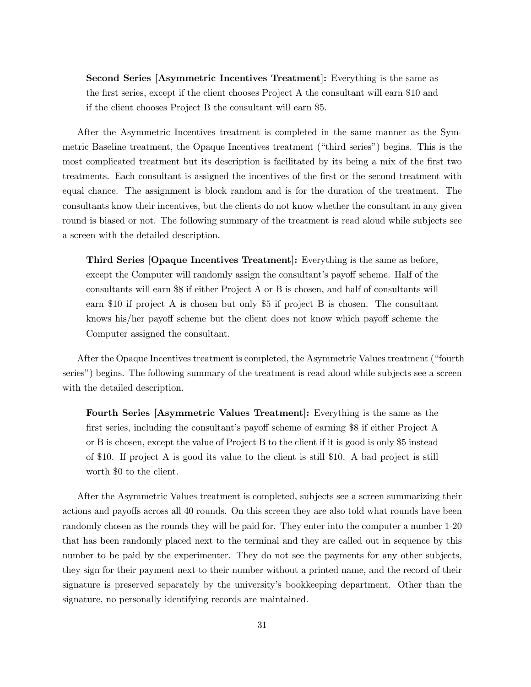Second Series [Asymmetric Incentives Treatment]: Everything is the same as the first series, except if the client chooses Project A the consultant will earn \$10 and if the client chooses Project B the consultant will earn \$5.

After the Asymmetric Incentives treatment is completed in the same manner as the Symmetric Baseline treatment, the Opaque Incentives treatment ("third series") begins. This is the most complicated treatment but its description is facilitated by its being a mix of the first two treatments. Each consultant is assigned the incentives of the first or the second treatment with equal chance. The assignment is block random and is for the duration of the treatment. The consultants know their incentives, but the clients do not know whether the consultant in any given round is biased or not. The following summary of the treatment is read aloud while subjects see a screen with the detailed description.

Third Series [Opaque Incentives Treatment]: Everything is the same as before, except the Computer will randomly assign the consultant's payoff scheme. Half of the consultants will earn \$8 if either Project A or B is chosen, and half of consultants will earn \$10 if project A is chosen but only \$5 if project B is chosen. The consultant knows his/her payoff scheme but the client does not know which payoff scheme the Computer assigned the consultant.

After the Opaque Incentives treatment is completed, the Asymmetric Values treatment ("fourth series") begins. The following summary of the treatment is read aloud while subjects see a screen with the detailed description.

Fourth Series [Asymmetric Values Treatment]: Everything is the same as the first series, including the consultant's payoff scheme of earning \$8 if either Project A or B is chosen, except the value of Project B to the client if it is good is only \$5 instead of \$10. If project A is good its value to the client is still \$10. A bad project is still worth \$0 to the client.

After the Asymmetric Values treatment is completed, subjects see a screen summarizing their actions and payoffs across all 40 rounds. On this screen they are also told what rounds have been randomly chosen as the rounds they will be paid for. They enter into the computer a number 1-20 that has been randomly placed next to the terminal and they are called out in sequence by this number to be paid by the experimenter. They do not see the payments for any other subjects, they sign for their payment next to their number without a printed name, and the record of their signature is preserved separately by the university's bookkeeping department. Other than the signature, no personally identifying records are maintained.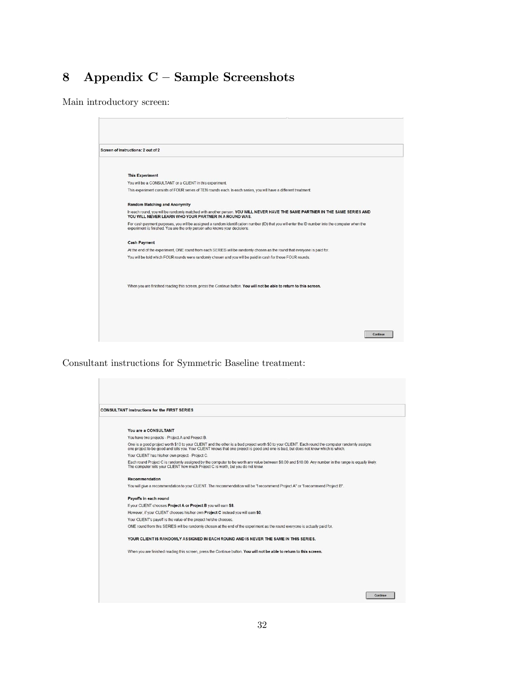# 8 Appendix C — Sample Screenshots

Main introductory screen:

| Screen of Instructions: 2 out of 2                                                                                                                                                                                            |  |
|-------------------------------------------------------------------------------------------------------------------------------------------------------------------------------------------------------------------------------|--|
|                                                                                                                                                                                                                               |  |
| <b>This Experiment</b>                                                                                                                                                                                                        |  |
| You will be a CONSULTANT or a CLIENT in this experiment.                                                                                                                                                                      |  |
| This experiment consists of FOUR series of TEN rounds each. In each series, you will have a different treatment.                                                                                                              |  |
| <b>Random Matching and Anonymity</b>                                                                                                                                                                                          |  |
| In each round, you will be randomly matched with another person. YOU WILL NEVER HAVE THE SAME PARTNER IN THE SAME SERIES AND<br>YOU WILL NEVER LEARN WHO YOUR PARTNER IN A ROUND WAS.                                         |  |
| For cash payment purposes, you will be assigned a random identification number (ID) that you will enter the ID number into the computer when the<br>experiment is finished. You are the only person who knows your decisions. |  |
| <b>Cash Payment</b>                                                                                                                                                                                                           |  |
| At the end of the experiment, ONE round from each SERIES will be randomly chosen as the round that everyone is paid for.                                                                                                      |  |
| You will be told which FOUR rounds were randomly chosen and you will be paid in cash for those FOUR rounds.                                                                                                                   |  |
|                                                                                                                                                                                                                               |  |
| When you are finished reading this screen, press the Continue button. You will not be able to return to this screen.                                                                                                          |  |
|                                                                                                                                                                                                                               |  |
|                                                                                                                                                                                                                               |  |
|                                                                                                                                                                                                                               |  |
| Continue                                                                                                                                                                                                                      |  |

Consultant instructions for Symmetric Baseline treatment:

| <b>CONSULTANT Instructions for the FIRST SERIES</b>                                                                                                                                                                                                                                     |
|-----------------------------------------------------------------------------------------------------------------------------------------------------------------------------------------------------------------------------------------------------------------------------------------|
| You are a CONSULTANT                                                                                                                                                                                                                                                                    |
| You have two projects - Project A and Project B.                                                                                                                                                                                                                                        |
| One is a good project worth \$10 to your CLIENT and the other is a bad project worth \$0 to your CLIENT. Each round the computer randomly assigns<br>one project to be good and tells you. Your CLIENT knows that one project is good and one is bad, but does not know which is which. |
| Your CLIENT has his/her own project - Project C.                                                                                                                                                                                                                                        |
| Each round Project C is randomly assigned by the computer to be worth any value between \$0.00 and \$10.00. Any number in the range is equally likely.<br>The computer tells your CLIENT how much Project C is worth, but you do not know.                                              |
| Recommendation                                                                                                                                                                                                                                                                          |
| You will give a recommendation to your CLIENT. The recommendation will be "I recommend Project A" or "I recommend Project B".                                                                                                                                                           |
| Payoffs in each round                                                                                                                                                                                                                                                                   |
| If your CLIENT chooses Project A or Project B you will earn \$8.                                                                                                                                                                                                                        |
| However, if your CLIENT chooses his/her own Project C instead you will earn \$0.                                                                                                                                                                                                        |
| Your CLIENT's payoff is the value of the project he/she chooses.                                                                                                                                                                                                                        |
| ONE round from this SERIES will be randomly chosen at the end of the experiment as the round everyone is actually paid for.                                                                                                                                                             |
| YOUR CLIENT IS RANDOMLY ASSIGNED IN EACH ROUND AND IS NEVER THE SAME IN THIS SERIES.                                                                                                                                                                                                    |
| When you are finished reading this screen, press the Continue button. You will not be able to return to this screen.                                                                                                                                                                    |
|                                                                                                                                                                                                                                                                                         |
|                                                                                                                                                                                                                                                                                         |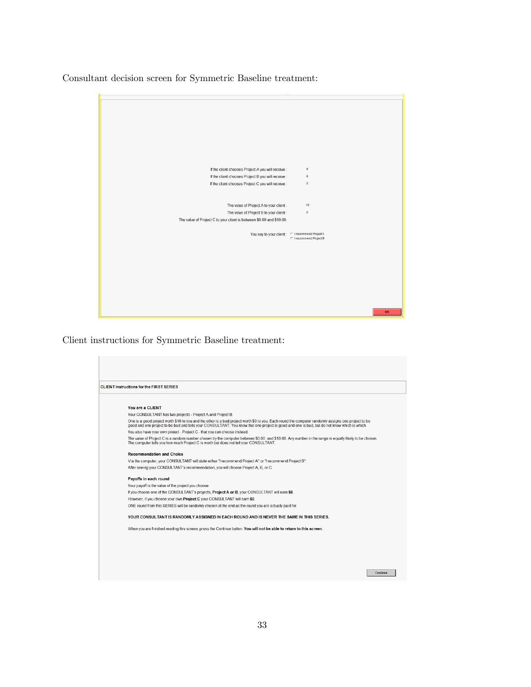Consultant decision screen for Symmetric Baseline treatment:



Client instructions for Symmetric Baseline treatment:

| <b>CLIENT Instructions for the FIRST SERIES</b>                                                                                                                                                                                                                                                    |
|----------------------------------------------------------------------------------------------------------------------------------------------------------------------------------------------------------------------------------------------------------------------------------------------------|
| You are a CLIENT                                                                                                                                                                                                                                                                                   |
| Your CONSULTANT has two projects - Project A and Project B.                                                                                                                                                                                                                                        |
| One is a good project worth \$10 to you and the other is a bad project worth \$0 to you. Each round the computer randomly assigns one project to be<br>good and one project to be bad and tells your CONSULTANT. You know that one project is good and one is bad, but do not know which is which. |
| You also have your own project - Project C - that you can choose instead.                                                                                                                                                                                                                          |
| The value of Project C is a random number chosen by the computer between \$0.00 and \$10.00. Any number in the range is equally likely to be chosen.<br>The computer tells you how much Project C is worth but does not tell your CONSULTANT.                                                      |
| <b>Recommendation and Choice</b>                                                                                                                                                                                                                                                                   |
| Via the computer, your CONSULTANT will state either "I recommend Project A" or "I recommend Project B".                                                                                                                                                                                            |
| After seeing your CONSULTANT's recommendation, you will choose Project A, B, or C.                                                                                                                                                                                                                 |
| Payoffs in each round                                                                                                                                                                                                                                                                              |
| Your payoff is the value of the project you choose.                                                                                                                                                                                                                                                |
| If you choose one of the CONSULTANT's projects, Project A or B, your CONSULTANT will earn \$8.                                                                                                                                                                                                     |
| However, if you choose your own Project C your CONSULTANT will earn \$0.                                                                                                                                                                                                                           |
| ONE round from this SERIES will be randomly chosen at the end as the round you are actually paid for.                                                                                                                                                                                              |
| YOUR CONSULTANT IS RANDOMLY ASSIGNED IN EACH ROUND AND IS NEVER THE SAME IN THIS SERIES.                                                                                                                                                                                                           |
| When you are finished reading this screen, press the Continue button. You will not be able to return to this screen.                                                                                                                                                                               |
|                                                                                                                                                                                                                                                                                                    |
|                                                                                                                                                                                                                                                                                                    |
|                                                                                                                                                                                                                                                                                                    |
| Continue                                                                                                                                                                                                                                                                                           |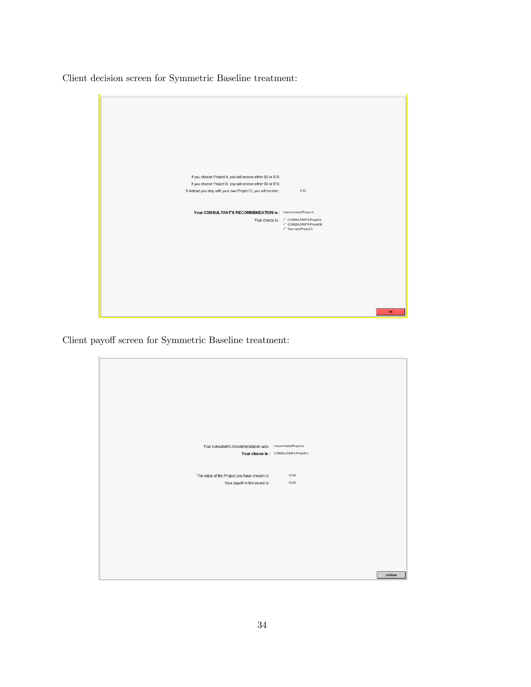Client decision screen for Symmetric Baseline treatment:



Client payoff screen for Symmetric Baseline treatment:

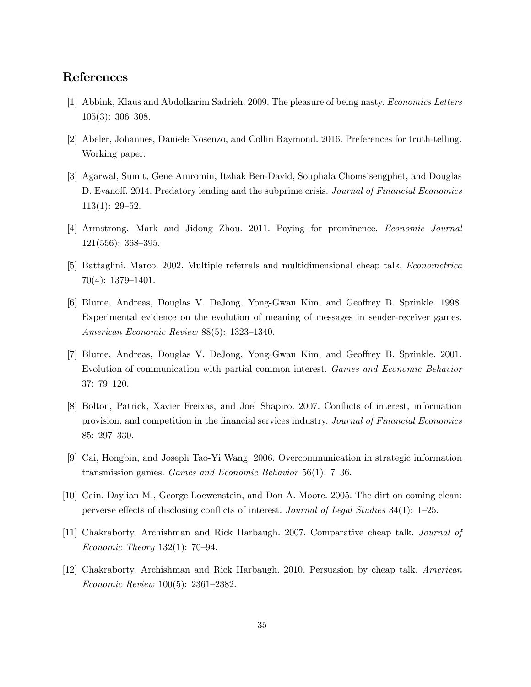# References

- [1] Abbink, Klaus and Abdolkarim Sadrieh. 2009. The pleasure of being nasty. Economics Letters 105(3): 306—308.
- [2] Abeler, Johannes, Daniele Nosenzo, and Collin Raymond. 2016. Preferences for truth-telling. Working paper.
- [3] Agarwal, Sumit, Gene Amromin, Itzhak Ben-David, Souphala Chomsisengphet, and Douglas D. Evanoff. 2014. Predatory lending and the subprime crisis. Journal of Financial Economics 113(1): 29—52.
- [4] Armstrong, Mark and Jidong Zhou. 2011. Paying for prominence. Economic Journal 121(556): 368—395.
- [5] Battaglini, Marco. 2002. Multiple referrals and multidimensional cheap talk. Econometrica 70(4): 1379—1401.
- [6] Blume, Andreas, Douglas V. DeJong, Yong-Gwan Kim, and Geoffrey B. Sprinkle. 1998. Experimental evidence on the evolution of meaning of messages in sender-receiver games. American Economic Review 88(5): 1323—1340.
- [7] Blume, Andreas, Douglas V. DeJong, Yong-Gwan Kim, and Geoffrey B. Sprinkle. 2001. Evolution of communication with partial common interest. Games and Economic Behavior 37: 79—120.
- [8] Bolton, Patrick, Xavier Freixas, and Joel Shapiro. 2007. Conflicts of interest, information provision, and competition in the financial services industry. Journal of Financial Economics 85: 297—330.
- [9] Cai, Hongbin, and Joseph Tao-Yi Wang. 2006. Overcommunication in strategic information transmission games. Games and Economic Behavior 56(1): 7—36.
- [10] Cain, Daylian M., George Loewenstein, and Don A. Moore. 2005. The dirt on coming clean: perverse effects of disclosing conflicts of interest. Journal of Legal Studies 34(1): 1—25.
- [11] Chakraborty, Archishman and Rick Harbaugh. 2007. Comparative cheap talk. Journal of Economic Theory 132(1): 70—94.
- [12] Chakraborty, Archishman and Rick Harbaugh. 2010. Persuasion by cheap talk. American Economic Review 100(5): 2361—2382.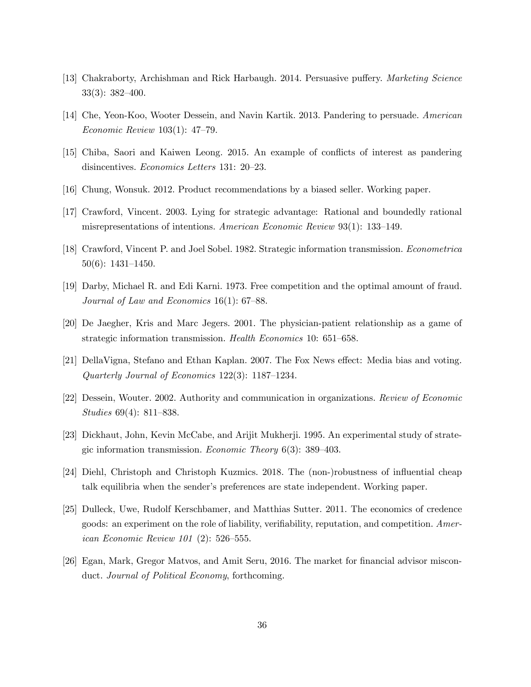- [13] Chakraborty, Archishman and Rick Harbaugh. 2014. Persuasive puffery. Marketing Science 33(3): 382—400.
- [14] Che, Yeon-Koo, Wooter Dessein, and Navin Kartik. 2013. Pandering to persuade. American Economic Review 103(1): 47—79.
- [15] Chiba, Saori and Kaiwen Leong. 2015. An example of conflicts of interest as pandering disincentives. Economics Letters 131: 20—23.
- [16] Chung, Wonsuk. 2012. Product recommendations by a biased seller. Working paper.
- [17] Crawford, Vincent. 2003. Lying for strategic advantage: Rational and boundedly rational misrepresentations of intentions. American Economic Review 93(1): 133—149.
- [18] Crawford, Vincent P. and Joel Sobel. 1982. Strategic information transmission. Econometrica 50(6): 1431—1450.
- [19] Darby, Michael R. and Edi Karni. 1973. Free competition and the optimal amount of fraud. Journal of Law and Economics 16(1): 67—88.
- [20] De Jaegher, Kris and Marc Jegers. 2001. The physician-patient relationship as a game of strategic information transmission. Health Economics 10: 651—658.
- [21] DellaVigna, Stefano and Ethan Kaplan. 2007. The Fox News effect: Media bias and voting. Quarterly Journal of Economics 122(3): 1187—1234.
- [22] Dessein, Wouter. 2002. Authority and communication in organizations. Review of Economic Studies 69(4): 811—838.
- [23] Dickhaut, John, Kevin McCabe, and Arijit Mukherji. 1995. An experimental study of strategic information transmission. Economic Theory 6(3): 389—403.
- [24] Diehl, Christoph and Christoph Kuzmics. 2018. The (non-)robustness of influential cheap talk equilibria when the sender's preferences are state independent. Working paper.
- [25] Dulleck, Uwe, Rudolf Kerschbamer, and Matthias Sutter. 2011. The economics of credence goods: an experiment on the role of liability, verifiability, reputation, and competition. American Economic Review 101 (2): 526—555.
- [26] Egan, Mark, Gregor Matvos, and Amit Seru, 2016. The market for financial advisor misconduct. Journal of Political Economy, forthcoming.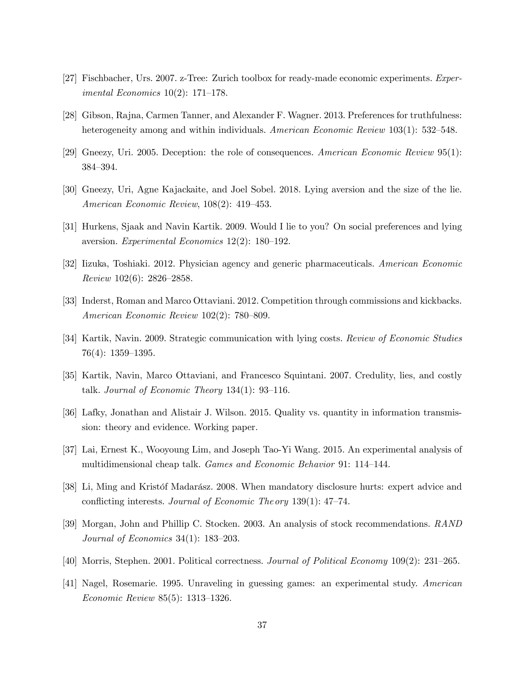- [27] Fischbacher, Urs. 2007. z-Tree: Zurich toolbox for ready-made economic experiments. Experimental Economics 10(2): 171—178.
- [28] Gibson, Rajna, Carmen Tanner, and Alexander F. Wagner. 2013. Preferences for truthfulness: heterogeneity among and within individuals. American Economic Review 103(1): 532–548.
- [29] Gneezy, Uri. 2005. Deception: the role of consequences. American Economic Review 95(1): 384—394.
- [30] Gneezy, Uri, Agne Kajackaite, and Joel Sobel. 2018. Lying aversion and the size of the lie. American Economic Review, 108(2): 419—453.
- [31] Hurkens, Sjaak and Navin Kartik. 2009. Would I lie to you? On social preferences and lying aversion. Experimental Economics 12(2): 180—192.
- [32] Iizuka, Toshiaki. 2012. Physician agency and generic pharmaceuticals. American Economic Review 102(6): 2826—2858.
- [33] Inderst, Roman and Marco Ottaviani. 2012. Competition through commissions and kickbacks. American Economic Review 102(2): 780—809.
- [34] Kartik, Navin. 2009. Strategic communication with lying costs. Review of Economic Studies 76(4): 1359—1395.
- [35] Kartik, Navin, Marco Ottaviani, and Francesco Squintani. 2007. Credulity, lies, and costly talk. Journal of Economic Theory 134(1): 93—116.
- [36] Lafky, Jonathan and Alistair J. Wilson. 2015. Quality vs. quantity in information transmission: theory and evidence. Working paper.
- [37] Lai, Ernest K., Wooyoung Lim, and Joseph Tao-Yi Wang. 2015. An experimental analysis of multidimensional cheap talk. Games and Economic Behavior 91: 114—144.
- [38] Li, Ming and Kristóf Madarász. 2008. When mandatory disclosure hurts: expert advice and conflicting interests. Journal of Economic The ory 139(1): 47—74.
- [39] Morgan, John and Phillip C. Stocken. 2003. An analysis of stock recommendations. RAND Journal of Economics 34(1): 183—203.
- [40] Morris, Stephen. 2001. Political correctness. Journal of Political Economy 109(2): 231—265.
- [41] Nagel, Rosemarie. 1995. Unraveling in guessing games: an experimental study. American Economic Review 85(5): 1313—1326.